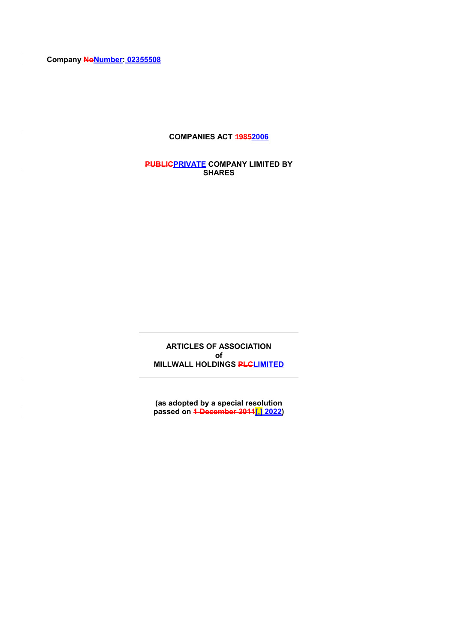**Company NoNumber: 02355508**

 $\overline{\phantom{a}}$ 

 $\overline{\phantom{a}}$ 

## **COMPANIES ACT 19852006**

**PUBLICPRIVATE COMPANY LIMITED BY SHARES**

**ARTICLES OF ASSOCIATION of MILLWALL HOLDINGS PLCLIMITED**

**(as adopted by a special resolution passed on 1 December 2011[.] 2022)**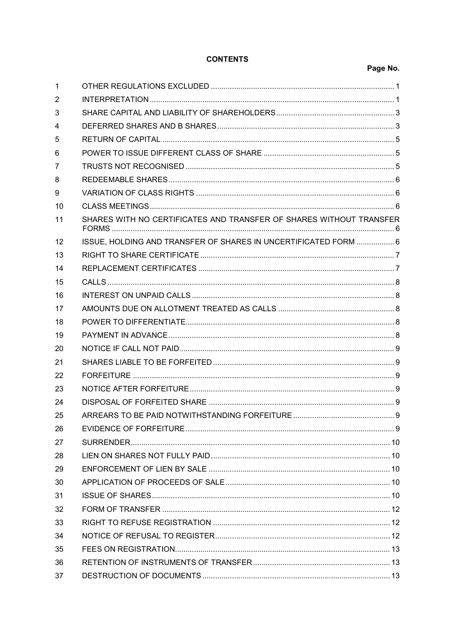# **CONTENTS**

# Page No.

| 1  |                                                                     |  |
|----|---------------------------------------------------------------------|--|
| 2  |                                                                     |  |
| 3  |                                                                     |  |
| 4  |                                                                     |  |
| 5  |                                                                     |  |
| 6  |                                                                     |  |
| 7  |                                                                     |  |
| 8  |                                                                     |  |
| 9  |                                                                     |  |
| 10 |                                                                     |  |
| 11 | SHARES WITH NO CERTIFICATES AND TRANSFER OF SHARES WITHOUT TRANSFER |  |
| 12 | ISSUE, HOLDING AND TRANSFER OF SHARES IN UNCERTIFICATED FORM  6     |  |
| 13 |                                                                     |  |
| 14 |                                                                     |  |
| 15 |                                                                     |  |
| 16 |                                                                     |  |
| 17 |                                                                     |  |
| 18 |                                                                     |  |
| 19 |                                                                     |  |
| 20 |                                                                     |  |
| 21 |                                                                     |  |
| 22 |                                                                     |  |
| 23 |                                                                     |  |
| 24 |                                                                     |  |
| 25 |                                                                     |  |
| 26 |                                                                     |  |
| 27 |                                                                     |  |
| 28 |                                                                     |  |
| 29 |                                                                     |  |
| 30 |                                                                     |  |
| 31 |                                                                     |  |
| 32 |                                                                     |  |
| 33 |                                                                     |  |
| 34 |                                                                     |  |
| 35 |                                                                     |  |
| 36 |                                                                     |  |
| 37 |                                                                     |  |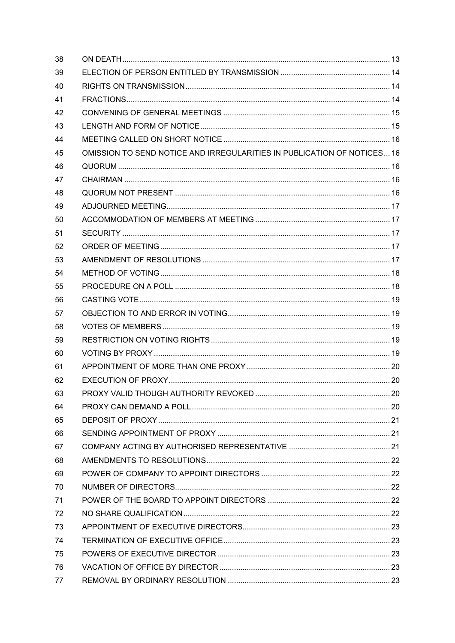| 38 |                                                                         |  |
|----|-------------------------------------------------------------------------|--|
| 39 |                                                                         |  |
| 40 |                                                                         |  |
| 41 |                                                                         |  |
| 42 |                                                                         |  |
| 43 |                                                                         |  |
| 44 |                                                                         |  |
| 45 | OMISSION TO SEND NOTICE AND IRREGULARITIES IN PUBLICATION OF NOTICES 16 |  |
| 46 |                                                                         |  |
| 47 |                                                                         |  |
| 48 |                                                                         |  |
| 49 |                                                                         |  |
| 50 |                                                                         |  |
| 51 |                                                                         |  |
| 52 |                                                                         |  |
| 53 |                                                                         |  |
| 54 |                                                                         |  |
| 55 |                                                                         |  |
| 56 |                                                                         |  |
| 57 |                                                                         |  |
| 58 |                                                                         |  |
| 59 |                                                                         |  |
| 60 |                                                                         |  |
| 61 |                                                                         |  |
| 62 |                                                                         |  |
| 63 |                                                                         |  |
| 64 |                                                                         |  |
| 65 |                                                                         |  |
| 66 |                                                                         |  |
| 67 |                                                                         |  |
| 68 |                                                                         |  |
| 69 |                                                                         |  |
| 70 |                                                                         |  |
| 71 |                                                                         |  |
| 72 |                                                                         |  |
| 73 |                                                                         |  |
| 74 |                                                                         |  |
| 75 |                                                                         |  |
| 76 |                                                                         |  |
| 77 |                                                                         |  |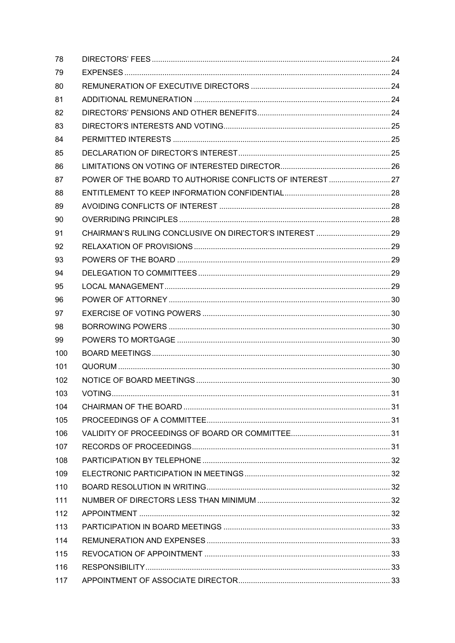| 78  |                                                           |  |
|-----|-----------------------------------------------------------|--|
| 79  |                                                           |  |
| 80  |                                                           |  |
| 81  |                                                           |  |
| 82  |                                                           |  |
| 83  |                                                           |  |
| 84  |                                                           |  |
| 85  |                                                           |  |
| 86  |                                                           |  |
| 87  | POWER OF THE BOARD TO AUTHORISE CONFLICTS OF INTEREST  27 |  |
| 88  |                                                           |  |
| 89  |                                                           |  |
| 90  |                                                           |  |
| 91  |                                                           |  |
| 92  |                                                           |  |
| 93  |                                                           |  |
| 94  |                                                           |  |
| 95  |                                                           |  |
| 96  |                                                           |  |
| 97  |                                                           |  |
| 98  |                                                           |  |
| 99  |                                                           |  |
| 100 |                                                           |  |
| 101 |                                                           |  |
| 102 |                                                           |  |
| 103 |                                                           |  |
| 104 |                                                           |  |
| 105 |                                                           |  |
| 106 |                                                           |  |
| 107 |                                                           |  |
| 108 |                                                           |  |
| 109 |                                                           |  |
| 110 |                                                           |  |
| 111 |                                                           |  |
| 112 |                                                           |  |
| 113 |                                                           |  |
| 114 |                                                           |  |
| 115 |                                                           |  |
| 116 |                                                           |  |
| 117 |                                                           |  |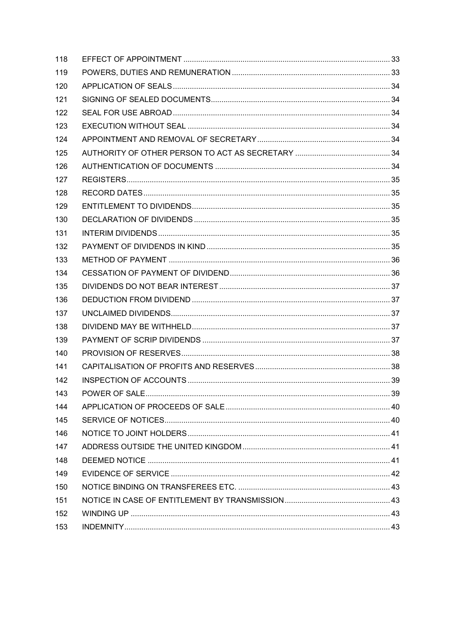| 118 |  |
|-----|--|
| 119 |  |
| 120 |  |
| 121 |  |
| 122 |  |
| 123 |  |
| 124 |  |
| 125 |  |
| 126 |  |
| 127 |  |
| 128 |  |
| 129 |  |
| 130 |  |
| 131 |  |
| 132 |  |
| 133 |  |
| 134 |  |
| 135 |  |
| 136 |  |
| 137 |  |
| 138 |  |
| 139 |  |
| 140 |  |
| 141 |  |
| 142 |  |
| 143 |  |
| 144 |  |
| 145 |  |
| 146 |  |
| 147 |  |
| 148 |  |
| 149 |  |
| 150 |  |
| 151 |  |
| 152 |  |
| 153 |  |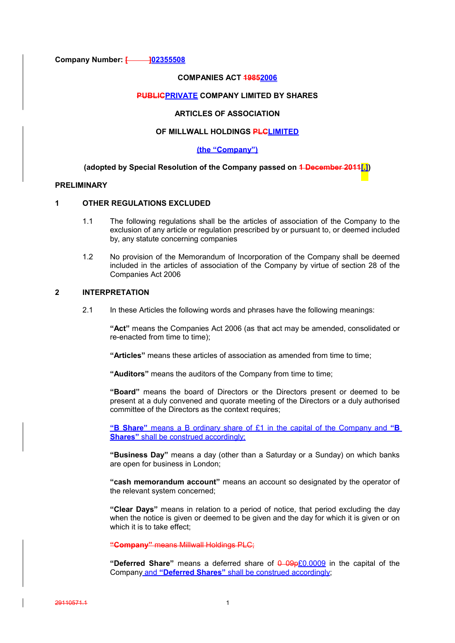**Company Number: [ 102355508** 

#### **COMPANIES ACT 19852006**

## **PUBLICPRIVATE COMPANY LIMITED BY SHARES**

## **ARTICLES OF ASSOCIATION**

## **OF MILLWALL HOLDINGS PLCLIMITED**

#### **(the "Company")**

#### **(adopted by Special Resolution of the Company passed on 1 December 2011[.])**

#### **PRELIMINARY**

#### **1 OTHER REGULATIONS EXCLUDED**

- 1.1 The following regulations shall be the articles of association of the Company to the exclusion of any article or regulation prescribed by or pursuant to, or deemed included by, any statute concerning companies
- 1.2 No provision of the Memorandum of Incorporation of the Company shall be deemed included in the articles of association of the Company by virtue of section 28 of the Companies Act 2006

## **2 INTERPRETATION**

2.1 In these Articles the following words and phrases have the following meanings:

**"Act"** means the Companies Act 2006 (as that act may be amended, consolidated or re-enacted from time to time);

**"Articles"** means these articles of association as amended from time to time;

**"Auditors"** means the auditors of the Company from time to time;

**"Board"** means the board of Directors or the Directors present or deemed to be present at a duly convened and quorate meeting of the Directors or a duly authorised committee of the Directors as the context requires;

**"B Share"** means a B ordinary share of £1 in the capital of the Company and **"B Shares**" shall be construed accordingly:

**"Business Day"** means a day (other than a Saturday or a Sunday) on which banks are open for business in London;

**"cash memorandum account"** means an account so designated by the operator of the relevant system concerned;

**"Clear Days"** means in relation to a period of notice, that period excluding the day when the notice is given or deemed to be given and the day for which it is given or on which it is to take effect;

**"Company"** means Millwall Holdings PLC;

**"Deferred Share"** means a deferred share of 0 09p£0.0009 in the capital of the Company and **"Deferred Shares"** shall be construed accordingly;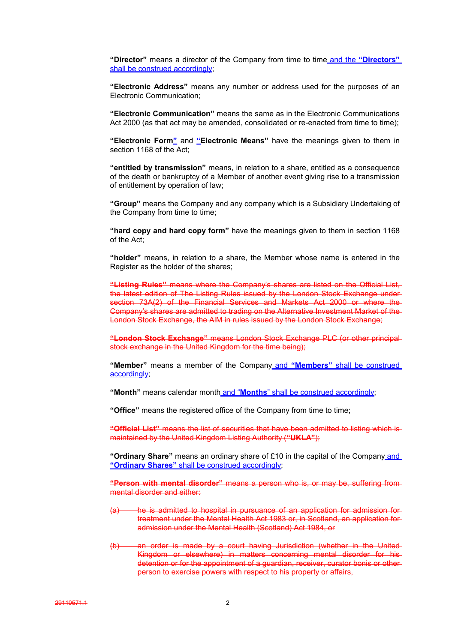**"Director"** means a director of the Company from time to time and the **"Directors"** shall be construed accordingly;

**"Electronic Address"** means any number or address used for the purposes of an Electronic Communication;

**"Electronic Communication"** means the same as in the Electronic Communications Act 2000 (as that act may be amended, consolidated or re-enacted from time to time);

**"Electronic Form"** and **"Electronic Means"** have the meanings given to them in section 1168 of the Act;

**"entitled by transmission"** means, in relation to a share, entitled as a consequence of the death or bankruptcy of a Member of another event giving rise to a transmission of entitlement by operation of law;

**"Group"** means the Company and any company which is a Subsidiary Undertaking of the Company from time to time;

**"hard copy and hard copy form"** have the meanings given to them in section 1168 of the Act;

**"holder"** means, in relation to a share, the Member whose name is entered in the Register as the holder of the shares;

**"Listing Rules"** means where the Company's shares are listed on the Official List, the latest edition of The Listing Rules issued by the London Stock Exchange under section 73A(2) of the Financial Services and Markets Act 2000 or where the Company's shares are admitted to trading on the Alternative Investment Market of the London Stock Exchange, the AlM in rules issued by the London Stock Exchange;

**"London Stock Exchange"** means London Stock Exchange PLC (or other principal stock exchange in the United Kingdom for the time being);

**"Member"** means a member of the Company and **"Members"** shall be construed accordingly;

**"Month"** means calendar month and "**Months**" shall be construed accordingly;

**"Office"** means the registered office of the Company from time to time;

**"Official List"** means the list of securities that have been admitted to listing which is maintained by the United Kingdom Listing Authority (**"UKLA"**);

**"Ordinary Share"** means an ordinary share of £10 in the capital of the Company and **"Ordinary Shares"** shall be construed accordingly;

**"Person with mental disorder"** means a person who is, or may be, suffering from mental disorder and either:

- (a) he is admitted to hospital in pursuance of an application for admission for treatment under the Mental Health Act 1983 or, in Scotland, an application for admission under the Mental Health (Scotland) Act 1984, or
- (b) an order is made by a court having Jurisdiction (whether in the United Kingdom or elsewhere) in matters concerning mental disorder for his detention or for the appointment of a guardian, receiver, curator bonis or other person to exercise powers with respect to his property or affairs,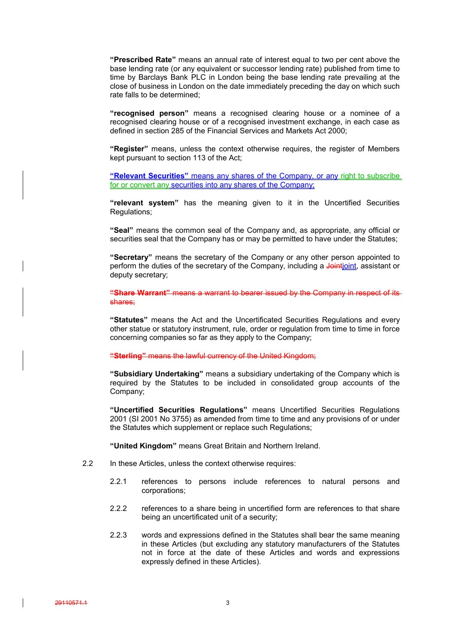**"Prescribed Rate"** means an annual rate of interest equal to two per cent above the base lending rate (or any equivalent or successor lending rate) published from time to time by Barclays Bank PLC in London being the base lending rate prevailing at the close of business in London on the date immediately preceding the day on which such rate falls to be determined;

**"recognised person"** means a recognised clearing house or a nominee of a recognised clearing house or of a recognised investment exchange, in each case as defined in section 285 of the Financial Services and Markets Act 2000;

**"Register"** means, unless the context otherwise requires, the register of Members kept pursuant to section 113 of the Act;

**"Relevant Securities"** means any shares of the Company, or any right to subscribe for or convert any securities into any shares of the Company;

**"relevant system"** has the meaning given to it in the Uncertified Securities Regulations;

**"Seal"** means the common seal of the Company and, as appropriate, any official or securities seal that the Company has or may be permitted to have under the Statutes;

**"Secretary"** means the secretary of the Company or any other person appointed to perform the duties of the secretary of the Company, including a Jointipint, assistant or deputy secretary;

**"Share Warrant"** means a warrant to bearer issued by the Company in respect of its shares;

**"Statutes"** means the Act and the Uncertificated Securities Regulations and every other statue or statutory instrument, rule, order or regulation from time to time in force concerning companies so far as they apply to the Company;

**"Sterling"** means the lawful currency of the United Kingdom;

**"Subsidiary Undertaking"** means a subsidiary undertaking of the Company which is required by the Statutes to be included in consolidated group accounts of the Company;

**"Uncertified Securities Regulations"** means Uncertified Securities Regulations 2001 (SI 2001 No 3755) as amended from time to time and any provisions of or under the Statutes which supplement or replace such Regulations;

**"United Kingdom"** means Great Britain and Northern Ireland.

- 2.2 In these Articles, unless the context otherwise requires:
	- 2.2.1 references to persons include references to natural persons and corporations;
	- 2.2.2 references to a share being in uncertified form are references to that share being an uncertificated unit of a security;
	- 2.2.3 words and expressions defined in the Statutes shall bear the same meaning in these Articles (but excluding any statutory manufacturers of the Statutes not in force at the date of these Articles and words and expressions expressly defined in these Articles).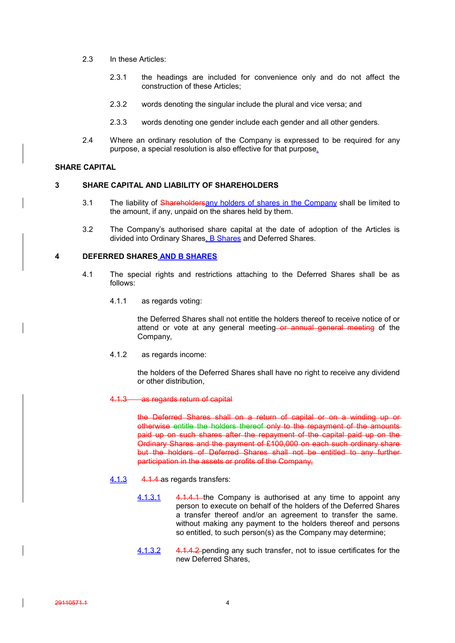- 2.3 In these Articles:
	- 2.3.1 the headings are included for convenience only and do not affect the construction of these Articles;
	- 2.3.2 words denoting the singular include the plural and vice versa; and
	- 2.3.3 words denoting one gender include each gender and all other genders.
- 2.4 Where an ordinary resolution of the Company is expressed to be required for any purpose, a special resolution is also effective for that purpose.

### **SHARE CAPITAL**

#### **3 SHARE CAPITAL AND LIABILITY OF SHAREHOLDERS**

- 3.1 The liability of Shareholdersany holders of shares in the Company shall be limited to the amount, if any, unpaid on the shares held by them.
- 3.2 The Company's authorised share capital at the date of adoption of the Articles is divided into Ordinary Shares, B Shares and Deferred Shares.

#### **4 DEFERRED SHARES AND B SHARES**

- 4.1 The special rights and restrictions attaching to the Deferred Shares shall be as follows:
	- 4.1.1 as regards voting:

the Deferred Shares shall not entitle the holders thereof to receive notice of or attend or vote at any general meeting or annual general meeting of the Company,

4.1.2 as regards income:

the holders of the Deferred Shares shall have no right to receive any dividend or other distribution,

#### 4.1.3 as regards return of capital

the Deferred Shares shall on a return of capital or on a winding up or otherwise entitle the holders thereof only to the repayment of the amounts paid up on such shares after the repayment of the capital paid up on the Ordinary Shares and the payment of £100,000 on each such ordinary share but the holders of Deferred Shares shall not be entitled to any further participation in the assets or profits of the Company,

- 4.1.3 4.1.4 as regards transfers:
	- 4.1.3.1 4.1.4.4 the Company is authorised at any time to appoint any person to execute on behalf of the holders of the Deferred Shares a transfer thereof and/or an agreement to transfer the same. without making any payment to the holders thereof and persons so entitled, to such person(s) as the Company may determine;
	- 4.1.3.2 4.1.4.2 pending any such transfer, not to issue certificates for the new Deferred Shares,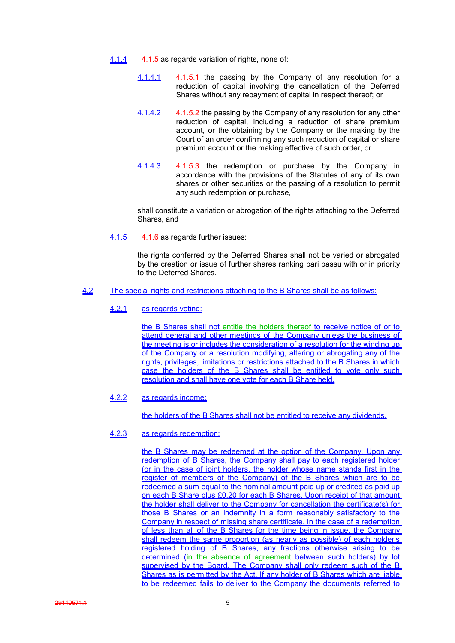- 4.1.4 4.1.5 as regards variation of rights, none of:
	- 4.1.4.1 4.1.5.1 the passing by the Company of any resolution for a reduction of capital involving the cancellation of the Deferred Shares without any repayment of capital in respect thereof; or
	- 4.1.4.2 4.1.5.2 the passing by the Company of any resolution for any other reduction of capital, including a reduction of share premium account, or the obtaining by the Company or the making by the Court of an order confirming any such reduction of capital or share premium account or the making effective of such order, or
	- 4.1.4.3 4.1.5.3 the redemption or purchase by the Company in accordance with the provisions of the Statutes of any of its own shares or other securities or the passing of a resolution to permit any such redemption or purchase,

shall constitute a variation or abrogation of the rights attaching to the Deferred Shares, and

4.1.5 4.1.6 as regards further issues:

the rights conferred by the Deferred Shares shall not be varied or abrogated by the creation or issue of further shares ranking pari passu with or in priority to the Deferred Shares.

- 4.2 The special rights and restrictions attaching to the B Shares shall be as follows:
	- 4.2.1 as regards voting:

the B Shares shall not entitle the holders thereof to receive notice of or to attend general and other meetings of the Company unless the business of the meeting is or includes the consideration of a resolution for the winding up of the Company or a resolution modifying, altering or abrogating any of the rights, privileges, limitations or restrictions attached to the B Shares in which case the holders of the B Shares shall be entitled to vote only such resolution and shall have one vote for each B Share held,

4.2.2 as regards income:

the holders of the B Shares shall not be entitled to receive any dividends,

## 4.2.3 as regards redemption:

the B Shares may be redeemed at the option of the Company. Upon any redemption of B Shares, the Company shall pay to each registered holder (or in the case of joint holders, the holder whose name stands first in the register of members of the Company) of the B Shares which are to be redeemed a sum equal to the nominal amount paid up or credited as paid up on each B Share plus £0.20 for each B Shares. Upon receipt of that amount the holder shall deliver to the Company for cancellation the certificate(s) for those B Shares or an indemnity in a form reasonably satisfactory to the Company in respect of missing share certificate. In the case of a redemption of less than all of the B Shares for the time being in issue, the Company shall redeem the same proportion (as nearly as possible) of each holder's registered holding of B Shares, any fractions otherwise arising to be determined (in the absence of agreement between such holders) by lot supervised by the Board. The Company shall only redeem such of the B Shares as is permitted by the Act. If any holder of B Shares which are liable to be redeemed fails to deliver to the Company the documents referred to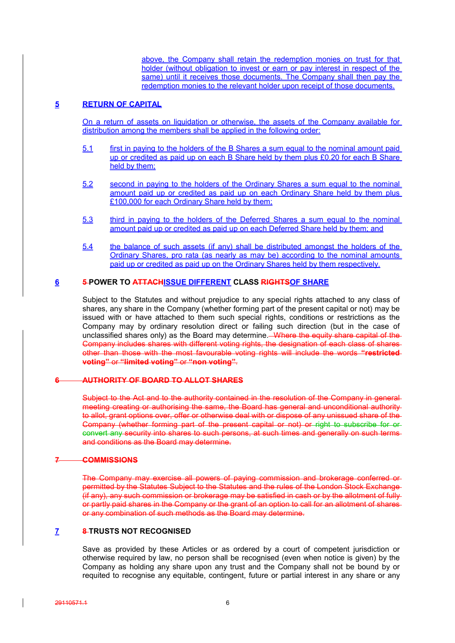above, the Company shall retain the redemption monies on trust for that holder (without obligation to invest or earn or pay interest in respect of the same) until it receives those documents. The Company shall then pay the redemption monies to the relevant holder upon receipt of those documents.

## **5 RETURN OF CAPITAL**

On a return of assets on liquidation or otherwise, the assets of the Company available for distribution among the members shall be applied in the following order:

- 5.1 first in paying to the holders of the B Shares a sum equal to the nominal amount paid up or credited as paid up on each B Share held by them plus £0.20 for each B Share held by them;
- 5.2 second in paying to the holders of the Ordinary Shares a sum equal to the nominal amount paid up or credited as paid up on each Ordinary Share held by them plus £100,000 for each Ordinary Share held by them;
- 5.3 third in paying to the holders of the Deferred Shares a sum equal to the nominal amount paid up or credited as paid up on each Deferred Share held by them; and
- 5.4 the balance of such assets (if any) shall be distributed amongst the holders of the Ordinary Shares, pro rata (as nearly as may be) according to the nominal amounts paid up or credited as paid up on the Ordinary Shares held by them respectively.

## **6 5 POWER TO ATTACHISSUE DIFFERENT CLASS RIGHTSOF SHARE**

Subject to the Statutes and without prejudice to any special rights attached to any class of shares, any share in the Company (whether forming part of the present capital or not) may be issued with or have attached to them such special rights, conditions or restrictions as the Company may by ordinary resolution direct or failing such direction (but in the case of unclassified shares only) as the Board may determine. Where the equity share capital of the Company includes shares with different voting rights, the designation of each class of shares other than those with the most favourable voting rights will include the words **"restricted voting"** or **"limited voting"** or **"non voting"**.

## **6 AUTHORITY OF BOARD TO ALLOT SHARES**

Subject to the Act and to the authority contained in the resolution of the Company in generalmeeting creating or authorising the same, the Board has general and unconditional authority to allot, grant options over, offer or otherwise deal with or dispose of any unissued share of the Company (whether forming part of the present capital or not) or right to subscribe for or convert any security into shares to such persons, at such times and generally on such terms and conditions as the Board may determine.

### **7 COMMISSIONS**

The Company may exercise all powers of paying commission and brokerage conferred or permitted by the Statutes Subject to the Statutes and the rules of the London Stock Exchange (if any), any such commission or brokerage may be satisfied in cash or by the allotment of fully or partly paid shares in the Company or the grant of an option to call for an allotment of shares or any combination of such methods as the Board may determine.

## **7 8 TRUSTS NOT RECOGNISED**

Save as provided by these Articles or as ordered by a court of competent jurisdiction or otherwise required by law, no person shall be recognised (even when notice is given) by the Company as holding any share upon any trust and the Company shall not be bound by or requited to recognise any equitable, contingent, future or partial interest in any share or any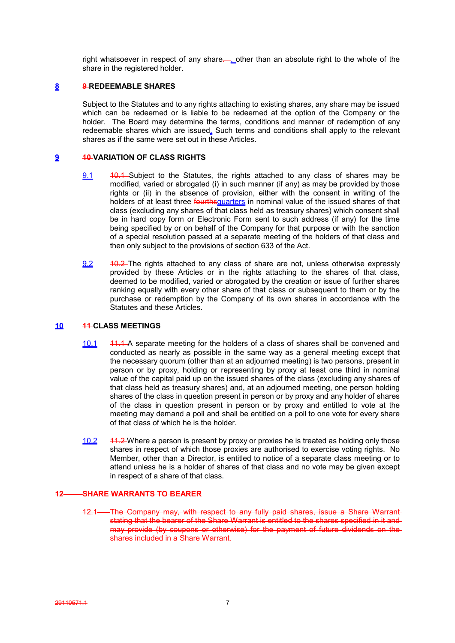right whatsoever in respect of any share. , other than an absolute right to the whole of the share in the registered holder.

## **8 9 REDEEMABLE SHARES**

Subject to the Statutes and to any rights attaching to existing shares, any share may be issued which can be redeemed or is liable to be redeemed at the option of the Company or the holder. The Board may determine the terms, conditions and manner of redemption of any redeemable shares which are issued. Such terms and conditions shall apply to the relevant shares as if the same were set out in these Articles.

## **9 10 VARIATION OF CLASS RIGHTS**

- 9.1 40.1 Subject to the Statutes, the rights attached to any class of shares may be modified, varied or abrogated (i) in such manner (if any) as may be provided by those rights or (ii) in the absence of provision, either with the consent in writing of the holders of at least three *fourthsquarters* in nominal value of the issued shares of that class (excluding any shares of that class held as treasury shares) which consent shall be in hard copy form or Electronic Form sent to such address (if any) for the time being specified by or on behalf of the Company for that purpose or with the sanction of a special resolution passed at a separate meeting of the holders of that class and then only subject to the provisions of section 633 of the Act.
- 9.2 40.2 The rights attached to any class of share are not, unless otherwise expressly provided by these Articles or in the rights attaching to the shares of that class, deemed to be modified, varied or abrogated by the creation or issue of further shares ranking equally with every other share of that class or subsequent to them or by the purchase or redemption by the Company of its own shares in accordance with the Statutes and these Articles.

## **10 11 CLASS MEETINGS**

- 10.1 11.1 A separate meeting for the holders of a class of shares shall be convened and conducted as nearly as possible in the same way as a general meeting except that the necessary quorum (other than at an adjourned meeting) is two persons, present in person or by proxy, holding or representing by proxy at least one third in nominal value of the capital paid up on the issued shares of the class (excluding any shares of that class held as treasury shares) and, at an adjourned meeting, one person holding shares of the class in question present in person or by proxy and any holder of shares of the class in question present in person or by proxy and entitled to vote at the meeting may demand a poll and shall be entitled on a poll to one vote for every share of that class of which he is the holder.
- 10.2 41.2 Where a person is present by proxy or proxies he is treated as holding only those shares in respect of which those proxies are authorised to exercise voting rights. No Member, other than a Director, is entitled to notice of a separate class meeting or to attend unless he is a holder of shares of that class and no vote may be given except in respect of a share of that class.

## **12 SHARE WARRANTS TO BEARER**

The Company may, with respect to any fully paid shares, issue a Share Warrant stating that the bearer of the Share Warrant is entitled to the shares specified in it and may provide (by coupons or otherwise) for the payment of future dividends on the shares included in a Share Warrant.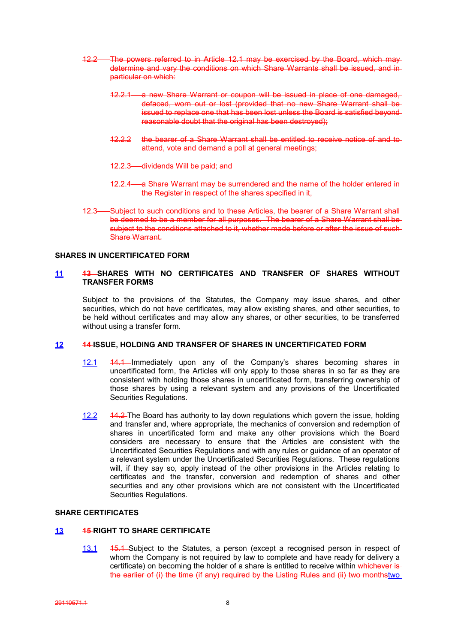- 12.2 The powers referred to in Article 12.1 may be exercised by the Board, which may determine and vary the conditions on which Share Warrants shall be issued, and in particular on which:
	- 12.2.1 a new Share Warrant or coupon will be issued in place of one damaged, defaced, worn out or lost (provided that no new Share Warrant shall be issued to replace one that has been lost unless the Board is satisfied beyond reasonable doubt that the original has been destroyed);
	- 12.2.2 the bearer of a Share Warrant shall be entitled to receive notice of and to attend, vote and demand a poll at general meetings;
	- 12.2.3 dividends Will be paid; and
	- 12.2.4 a Share Warrant may be surrendered and the name of the holder entered in the Register in respect of the shares specified in it,
- 12.3 Subject to such conditions and to these Articles, the bearer of a Share Warrant shall be deemed to be a member for all purposes. The bearer of a Share Warrant shall be subject to the conditions attached to it, whether made before or after the issue of such-Share Warrant.

### **SHARES IN UNCERTIFICATED FORM**

## **11 13 SHARES WITH NO CERTIFICATES AND TRANSFER OF SHARES WITHOUT TRANSFER FORMS**

Subject to the provisions of the Statutes, the Company may issue shares, and other securities, which do not have certificates, may allow existing shares, and other securities, to be held without certificates and may allow any shares, or other securities, to be transferred without using a transfer form.

#### **12 14 ISSUE, HOLDING AND TRANSFER OF SHARES IN UNCERTIFICATED FORM**

- 12.1 14.1 Immediately upon any of the Company's shares becoming shares in uncertificated form, the Articles will only apply to those shares in so far as they are consistent with holding those shares in uncertificated form, transferring ownership of those shares by using a relevant system and any provisions of the Uncertificated Securities Regulations.
- 12.2 14.2 The Board has authority to lay down regulations which govern the issue, holding and transfer and, where appropriate, the mechanics of conversion and redemption of shares in uncertificated form and make any other provisions which the Board considers are necessary to ensure that the Articles are consistent with the Uncertificated Securities Regulations and with any rules or guidance of an operator of a relevant system under the Uncertificated Securities Regulations. These regulations will, if they say so, apply instead of the other provisions in the Articles relating to certificates and the transfer, conversion and redemption of shares and other securities and any other provisions which are not consistent with the Uncertificated Securities Regulations.

#### **SHARE CERTIFICATES**

## **13 15 RIGHT TO SHARE CERTIFICATE**

13.1 15.1 Subject to the Statutes, a person (except a recognised person in respect of whom the Company is not required by law to complete and have ready for delivery a certificate) on becoming the holder of a share is entitled to receive within whichever is the earlier of (i) the time (if any) required by the Listing Rules and (ii) two monthstwo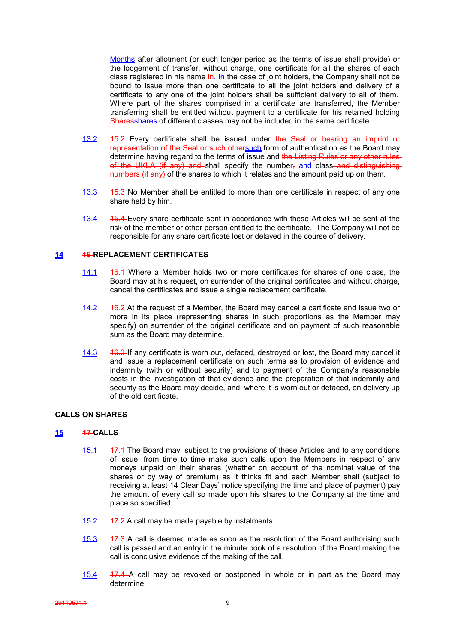Months after allotment (or such longer period as the terms of issue shall provide) or the lodgement of transfer, without charge, one certificate for all the shares of each class registered in his name  $\frac{ln}{h}$  In the case of joint holders, the Company shall not be bound to issue more than one certificate to all the joint holders and delivery of a certificate to any one of the joint holders shall be sufficient delivery to all of them. Where part of the shares comprised in a certificate are transferred, the Member transferring shall be entitled without payment to a certificate for his retained holding Sharesshares of different classes may not be included in the same certificate.

- 13.2 15.2 Every certificate shall be issued under the Seal or bearing an imprint or representation of the Seal or such othersuch form of authentication as the Board may determine having regard to the terms of issue and the Listing Rules or any other rules of the UKLA (if any) and shall specify the number, and class and distinguishing numbers (if any) of the shares to which it relates and the amount paid up on them.
- 13.3 15.3 No Member shall be entitled to more than one certificate in respect of any one share held by him.
- 13.4 15.4 Every share certificate sent in accordance with these Articles will be sent at the risk of the member or other person entitled to the certificate. The Company will not be responsible for any share certificate lost or delayed in the course of delivery.

## **14 16 REPLACEMENT CERTIFICATES**

- 14.1 16.1 Where a Member holds two or more certificates for shares of one class, the Board may at his request, on surrender of the original certificates and without charge, cancel the certificates and issue a single replacement certificate.
- 14.2 16.2 At the request of a Member, the Board may cancel a certificate and issue two or more in its place (representing shares in such proportions as the Member may specify) on surrender of the original certificate and on payment of such reasonable sum as the Board may determine.
- 14.3 46.3 If any certificate is worn out, defaced, destroyed or lost, the Board may cancel it and issue a replacement certificate on such terms as to provision of evidence and indemnity (with or without security) and to payment of the Company's reasonable costs in the investigation of that evidence and the preparation of that indemnity and security as the Board may decide, and, where it is worn out or defaced, on delivery up of the old certificate.

## **CALLS ON SHARES**

## **15 17 CALLS**

- 15.1 17.1 The Board may, subject to the provisions of these Articles and to any conditions of issue, from time to time make such calls upon the Members in respect of any moneys unpaid on their shares (whether on account of the nominal value of the shares or by way of premium) as it thinks fit and each Member shall (subject to receiving at least 14 Clear Days' notice specifying the time and place of payment) pay the amount of every call so made upon his shares to the Company at the time and place so specified.
- 15.2 17.2 A call may be made payable by instalments.
- 15.3 17.3 A call is deemed made as soon as the resolution of the Board authorising such call is passed and an entry in the minute book of a resolution of the Board making the call is conclusive evidence of the making of the call.
- 15.4 17.4 A call may be revoked or postponed in whole or in part as the Board may determine.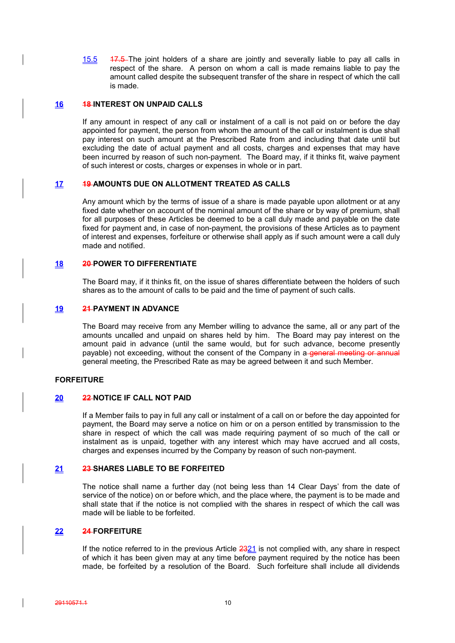15.5 17.5 The joint holders of a share are jointly and severally liable to pay all calls in respect of the share. A person on whom a call is made remains liable to pay the amount called despite the subsequent transfer of the share in respect of which the call is made.

## **16 18 INTEREST ON UNPAID CALLS**

If any amount in respect of any call or instalment of a call is not paid on or before the day appointed for payment, the person from whom the amount of the call or instalment is due shall pay interest on such amount at the Prescribed Rate from and including that date until but excluding the date of actual payment and all costs, charges and expenses that may have been incurred by reason of such non-payment. The Board may, if it thinks fit, waive payment of such interest or costs, charges or expenses in whole or in part.

## **17 19 AMOUNTS DUE ON ALLOTMENT TREATED AS CALLS**

Any amount which by the terms of issue of a share is made payable upon allotment or at any fixed date whether on account of the nominal amount of the share or by way of premium, shall for all purposes of these Articles be deemed to be a call duly made and payable on the date fixed for payment and, in case of non-payment, the provisions of these Articles as to payment of interest and expenses, forfeiture or otherwise shall apply as if such amount were a call duly made and notified.

## **18 20 POWER TO DIFFERENTIATE**

The Board may, if it thinks fit, on the issue of shares differentiate between the holders of such shares as to the amount of calls to be paid and the time of payment of such calls.

### **19 21 PAYMENT IN ADVANCE**

The Board may receive from any Member willing to advance the same, all or any part of the amounts uncalled and unpaid on shares held by him. The Board may pay interest on the amount paid in advance (until the same would, but for such advance, become presently payable) not exceeding, without the consent of the Company in a general meeting or annual general meeting, the Prescribed Rate as may be agreed between it and such Member.

## **FORFEITURE**

### **20 22 NOTICE IF CALL NOT PAID**

If a Member fails to pay in full any call or instalment of a call on or before the day appointed for payment, the Board may serve a notice on him or on a person entitled by transmission to the share in respect of which the call was made requiring payment of so much of the call or instalment as is unpaid, together with any interest which may have accrued and all costs, charges and expenses incurred by the Company by reason of such non-payment.

### **21 23 SHARES LIABLE TO BE FORFEITED**

The notice shall name a further day (not being less than 14 Clear Days' from the date of service of the notice) on or before which, and the place where, the payment is to be made and shall state that if the notice is not complied with the shares in respect of which the call was made will be liable to be forfeited.

## **22 24 FORFEITURE**

If the notice referred to in the previous Article  $2321$  is not complied with, any share in respect of which it has been given may at any time before payment required by the notice has been made, be forfeited by a resolution of the Board. Such forfeiture shall include all dividends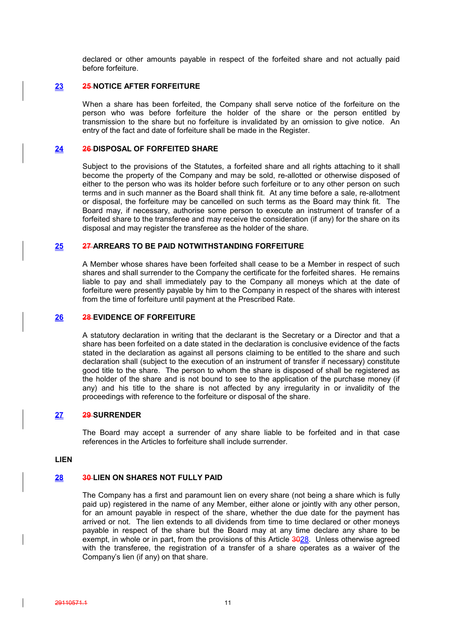declared or other amounts payable in respect of the forfeited share and not actually paid before forfeiture.

## **23 25 NOTICE AFTER FORFEITURE**

When a share has been forfeited, the Company shall serve notice of the forfeiture on the person who was before forfeiture the holder of the share or the person entitled by transmission to the share but no forfeiture is invalidated by an omission to give notice. An entry of the fact and date of forfeiture shall be made in the Register.

### **24 26 DISPOSAL OF FORFEITED SHARE**

Subject to the provisions of the Statutes, a forfeited share and all rights attaching to it shall become the property of the Company and may be sold, re-allotted or otherwise disposed of either to the person who was its holder before such forfeiture or to any other person on such terms and in such manner as the Board shall think fit. At any time before a sale, re-allotment or disposal, the forfeiture may be cancelled on such terms as the Board may think fit. The Board may, if necessary, authorise some person to execute an instrument of transfer of a forfeited share to the transferee and may receive the consideration (if any) for the share on its disposal and may register the transferee as the holder of the share.

## **25 27 ARREARS TO BE PAID NOTWITHSTANDING FORFEITURE**

A Member whose shares have been forfeited shall cease to be a Member in respect of such shares and shall surrender to the Company the certificate for the forfeited shares. He remains liable to pay and shall immediately pay to the Company all moneys which at the date of forfeiture were presently payable by him to the Company in respect of the shares with interest from the time of forfeiture until payment at the Prescribed Rate.

## **26 28 EVIDENCE OF FORFEITURE**

A statutory declaration in writing that the declarant is the Secretary or a Director and that a share has been forfeited on a date stated in the declaration is conclusive evidence of the facts stated in the declaration as against all persons claiming to be entitled to the share and such declaration shall (subject to the execution of an instrument of transfer if necessary) constitute good title to the share. The person to whom the share is disposed of shall be registered as the holder of the share and is not bound to see to the application of the purchase money (if any) and his title to the share is not affected by any irregularity in or invalidity of the proceedings with reference to the forfeiture or disposal of the share.

## **27 29 SURRENDER**

The Board may accept a surrender of any share liable to be forfeited and in that case references in the Articles to forfeiture shall include surrender.

### **LIEN**

### **28 30 LIEN ON SHARES NOT FULLY PAID**

The Company has a first and paramount lien on every share (not being a share which is fully paid up) registered in the name of any Member, either alone or jointly with any other person, for an amount payable in respect of the share, whether the due date for the payment has arrived or not. The lien extends to all dividends from time to time declared or other moneys payable in respect of the share but the Board may at any time declare any share to be exempt, in whole or in part, from the provisions of this Article 3028. Unless otherwise agreed with the transferee, the registration of a transfer of a share operates as a waiver of the Company's lien (if any) on that share.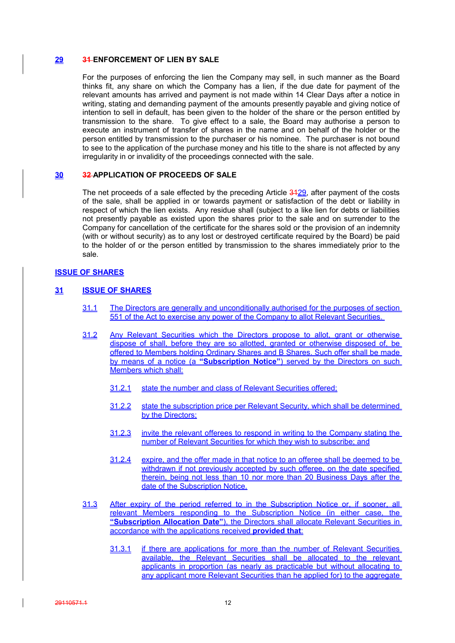### **29 31 ENFORCEMENT OF LIEN BY SALE**

For the purposes of enforcing the lien the Company may sell, in such manner as the Board thinks fit, any share on which the Company has a lien, if the due date for payment of the relevant amounts has arrived and payment is not made within 14 Clear Days after a notice in writing, stating and demanding payment of the amounts presently payable and giving notice of intention to sell in default, has been given to the holder of the share or the person entitled by transmission to the share. To give effect to a sale, the Board may authorise a person to execute an instrument of transfer of shares in the name and on behalf of the holder or the person entitled by transmission to the purchaser or his nominee. The purchaser is not bound to see to the application of the purchase money and his title to the share is not affected by any irregularity in or invalidity of the proceedings connected with the sale.

## **30 32 APPLICATION OF PROCEEDS OF SALE**

The net proceeds of a sale effected by the preceding Article 3429, after payment of the costs of the sale, shall be applied in or towards payment or satisfaction of the debt or liability in respect of which the lien exists. Any residue shall (subject to a like lien for debts or liabilities not presently payable as existed upon the shares prior to the sale and on surrender to the Company for cancellation of the certificate for the shares sold or the provision of an indemnity (with or without security) as to any lost or destroyed certificate required by the Board) be paid to the holder of or the person entitled by transmission to the shares immediately prior to the sale.

## **ISSUE OF SHARES**

## **31 ISSUE OF SHARES**

- 31.1 The Directors are generally and unconditionally authorised for the purposes of section 551 of the Act to exercise any power of the Company to allot Relevant Securities.
- 31.2 Any Relevant Securities which the Directors propose to allot, grant or otherwise dispose of shall, before they are so allotted, granted or otherwise disposed of, be offered to Members holding Ordinary Shares and B Shares. Such offer shall be made by means of a notice (a **"Subscription Notice"**) served by the Directors on such Members which shall:
	- 31.2.1 state the number and class of Relevant Securities offered;
	- 31.2.2 state the subscription price per Relevant Security, which shall be determined by the Directors;
	- 31.2.3 invite the relevant offerees to respond in writing to the Company stating the number of Relevant Securities for which they wish to subscribe; and
	- 31.2.4 expire, and the offer made in that notice to an offeree shall be deemed to be withdrawn if not previously accepted by such offeree, on the date specified therein, being not less than 10 nor more than 20 Business Days after the date of the Subscription Notice.
- 31.3 After expiry of the period referred to in the Subscription Notice or, if sooner, all relevant Members responding to the Subscription Notice (in either case, the **"Subscription Allocation Date"**), the Directors shall allocate Relevant Securities in accordance with the applications received **provided that**:
	- 31.3.1 if there are applications for more than the number of Relevant Securities available, the Relevant Securities shall be allocated to the relevant applicants in proportion (as nearly as practicable but without allocating to any applicant more Relevant Securities than he applied for) to the aggregate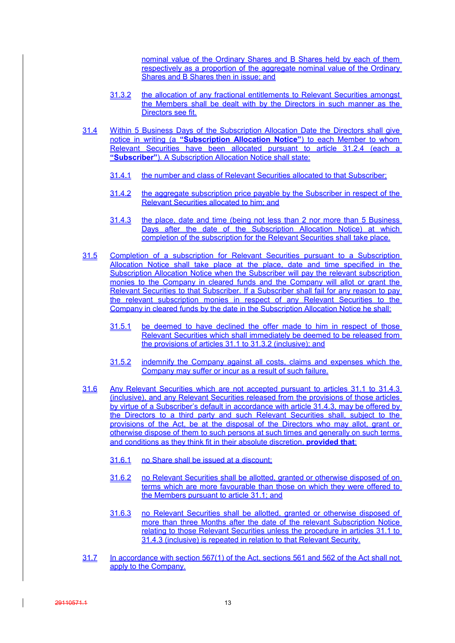nominal value of the Ordinary Shares and B Shares held by each of them respectively as a proportion of the aggregate nominal value of the Ordinary Shares and B Shares then in issue; and

- 31.3.2 the allocation of any fractional entitlements to Relevant Securities amongst the Members shall be dealt with by the Directors in such manner as the Directors see fit.
- 31.4 Within 5 Business Days of the Subscription Allocation Date the Directors shall give notice in writing (a **"Subscription Allocation Notice"**) to each Member to whom Relevant Securities have been allocated pursuant to article 31.2.4 (each a **"Subscriber"**). A Subscription Allocation Notice shall state:
	- 31.4.1 the number and class of Relevant Securities allocated to that Subscriber;
	- 31.4.2 the aggregate subscription price payable by the Subscriber in respect of the Relevant Securities allocated to him; and
	- 31.4.3 the place, date and time (being not less than 2 nor more than 5 Business Days after the date of the Subscription Allocation Notice) at which completion of the subscription for the Relevant Securities shall take place.
- 31.5 Completion of a subscription for Relevant Securities pursuant to a Subscription Allocation Notice shall take place at the place, date and time specified in the Subscription Allocation Notice when the Subscriber will pay the relevant subscription monies to the Company in cleared funds and the Company will allot or grant the Relevant Securities to that Subscriber. If a Subscriber shall fail for any reason to pay the relevant subscription monies in respect of any Relevant Securities to the Company in cleared funds by the date in the Subscription Allocation Notice he shall:
	- 31.5.1 be deemed to have declined the offer made to him in respect of those Relevant Securities which shall immediately be deemed to be released from the provisions of articles 31.1 to 31.3.2 (inclusive); and
	- 31.5.2 indemnify the Company against all costs, claims and expenses which the Company may suffer or incur as a result of such failure.
- 31.6 Any Relevant Securities which are not accepted pursuant to articles 31.1 to 31.4.3 (inclusive), and any Relevant Securities released from the provisions of those articles by virtue of a Subscriber's default in accordance with article 31.4.3, may be offered by the Directors to a third party and such Relevant Securities shall, subject to the provisions of the Act, be at the disposal of the Directors who may allot, grant or otherwise dispose of them to such persons at such times and generally on such terms and conditions as they think fit in their absolute discretion, **provided that**:
	- 31.6.1 no Share shall be issued at a discount;
	- 31.6.2 no Relevant Securities shall be allotted, granted or otherwise disposed of on terms which are more favourable than those on which they were offered to the Members pursuant to article 31.1; and
	- 31.6.3 no Relevant Securities shall be allotted, granted or otherwise disposed of more than three Months after the date of the relevant Subscription Notice relating to those Relevant Securities unless the procedure in articles 31.1 to 31.4.3 (inclusive) is repeated in relation to that Relevant Security.
- 31.7 In accordance with section 567(1) of the Act, sections 561 and 562 of the Act shall not apply to the Company.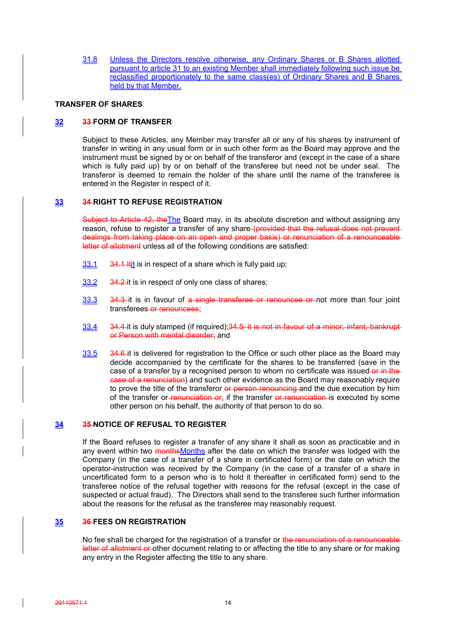31.8 Unless the Directors resolve otherwise, any Ordinary Shares or B Shares allotted pursuant to article 31 to an existing Member shall immediately following such issue be reclassified proportionately to the same class(es) of Ordinary Shares and B Shares held by that Member.

#### **TRANSFER OF SHARES**

### **32 33 FORM OF TRANSFER**

Subject to these Articles, any Member may transfer all or any of his shares by instrument of transfer in writing in any usual form or in such other form as the Board may approve and the instrument must be signed by or on behalf of the transferor and (except in the case of a share which is fully paid up) by or on behalf of the transferee but need not be under seal. The transferor is deemed to remain the holder of the share until the name of the transferee is entered in the Register in respect of it.

#### **33 34 RIGHT TO REFUSE REGISTRATION**

Subject to Article 42, the The Board may, in its absolute discretion and without assigning any reason, refuse to register a transfer of any share (provided that the refusal does not prevent dealings from taking place on an open and proper basis) or renunciation of a renounceable letter of allotment unless all of the following conditions are satisfied:

- 33.1 34.1 It it is in respect of a share which is fully paid up;
- 33.2 34.2 it is in respect of only one class of shares;
- 33.3 34.3 it is in favour of a single transferee or renouncee or not more than four joint transferees or renouncees;
- 33.4 34.4 it is duly stamped (if required);34.5 it is not in favour of a minor, infant, bankrupt or Person with mental disorder; and
- 33.5 34.6 it is delivered for registration to the Office or such other place as the Board may decide accompanied by the certificate for the shares to be transferred (save in the case of a transfer by a recognised person to whom no certificate was issued-or in thecase of a renunciation) and such other evidence as the Board may reasonably require to prove the title of the transferor or person renouncing and the due execution by him of the transfer or renunciation or, if the transfer or renunciation is executed by some other person on his behalf, the authority of that person to do so.

### **34 35 NOTICE OF REFUSAL TO REGISTER**

If the Board refuses to register a transfer of any share it shall as soon as practicable and in any event within two monthsMonths after the date on which the transfer was lodged with the Company (in the case of a transfer of a share in certificated form) or the date on which the operator-instruction was received by the Company (in the case of a transfer of a share in uncertificated form to a person who is to hold it thereafter in certificated form) send to the transferee notice of the refusal together with reasons for the refusal (except in the case of suspected or actual fraud). The Directors shall send to the transferee such further information about the reasons for the refusal as the transferee may reasonably request.

## **35 36 FEES ON REGISTRATION**

No fee shall be charged for the registration of a transfer or the renunciation of a renounceableletter of allotment or other document relating to or affecting the title to any share or for making any entry in the Register affecting the title to any share.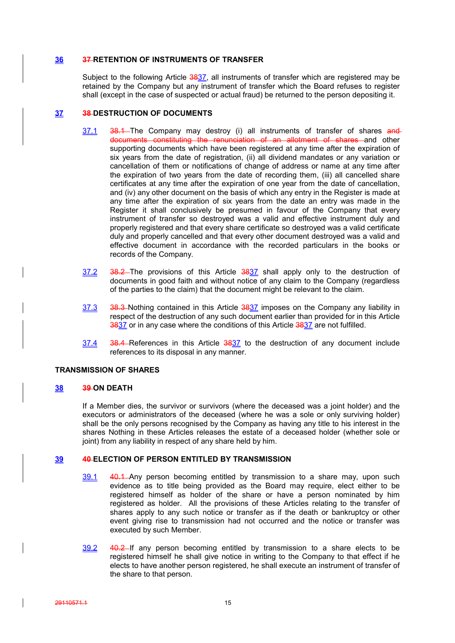### **36 37 RETENTION OF INSTRUMENTS OF TRANSFER**

Subject to the following Article 3837, all instruments of transfer which are registered may be retained by the Company but any instrument of transfer which the Board refuses to register shall (except in the case of suspected or actual fraud) be returned to the person depositing it.

## **37 38 DESTRUCTION OF DOCUMENTS**

- 37.1 38.1 The Company may destroy (i) all instruments of transfer of shares and documents constituting the renunciation of an allotment of shares and other supporting documents which have been registered at any time after the expiration of six years from the date of registration, (ii) all dividend mandates or any variation or cancellation of them or notifications of change of address or name at any time after the expiration of two years from the date of recording them, (iii) all cancelled share certificates at any time after the expiration of one year from the date of cancellation, and (iv) any other document on the basis of which any entry in the Register is made at any time after the expiration of six years from the date an entry was made in the Register it shall conclusively be presumed in favour of the Company that every instrument of transfer so destroyed was a valid and effective instrument duly and properly registered and that every share certificate so destroyed was a valid certificate duly and properly cancelled and that every other document destroyed was a valid and effective document in accordance with the recorded particulars in the books or records of the Company.
- 37.2 38.2 The provisions of this Article 3837 shall apply only to the destruction of documents in good faith and without notice of any claim to the Company (regardless of the parties to the claim) that the document might be relevant to the claim.
- 37.3 38.3 Nothing contained in this Article 3837 imposes on the Company any liability in respect of the destruction of any such document earlier than provided for in this Article 3837 or in any case where the conditions of this Article 3837 are not fulfilled.
- 37.4 38.4 References in this Article 3837 to the destruction of any document include references to its disposal in any manner.

## **TRANSMISSION OF SHARES**

## **38 39 ON DEATH**

If a Member dies, the survivor or survivors (where the deceased was a joint holder) and the executors or administrators of the deceased (where he was a sole or only surviving holder) shall be the only persons recognised by the Company as having any title to his interest in the shares Nothing in these Articles releases the estate of a deceased holder (whether sole or joint) from any liability in respect of any share held by him.

## **39 40 ELECTION OF PERSON ENTITLED BY TRANSMISSION**

- 39.1 40.1 Any person becoming entitled by transmission to a share may, upon such evidence as to title being provided as the Board may require, elect either to be registered himself as holder of the share or have a person nominated by him registered as holder. All the provisions of these Articles relating to the transfer of shares apply to any such notice or transfer as if the death or bankruptcy or other event giving rise to transmission had not occurred and the notice or transfer was executed by such Member.
- 39.2 40.2 If any person becoming entitled by transmission to a share elects to be registered himself he shall give notice in writing to the Company to that effect if he elects to have another person registered, he shall execute an instrument of transfer of the share to that person.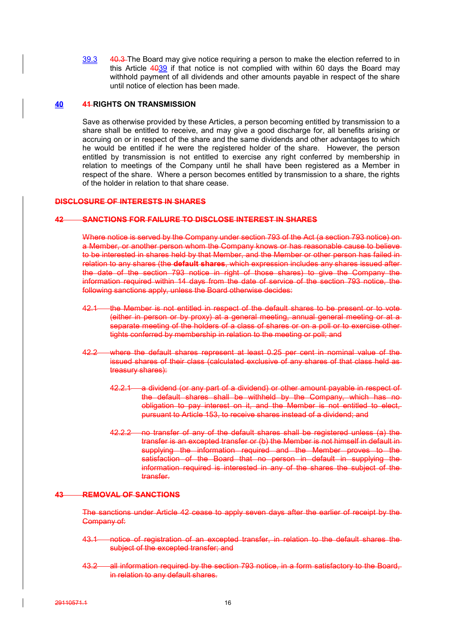39.3 40.3 The Board may give notice requiring a person to make the election referred to in this Article 4039 if that notice is not complied with within 60 days the Board may withhold payment of all dividends and other amounts payable in respect of the share until notice of election has been made.

#### **40 41 RIGHTS ON TRANSMISSION**

Save as otherwise provided by these Articles, a person becoming entitled by transmission to a share shall be entitled to receive, and may give a good discharge for, all benefits arising or accruing on or in respect of the share and the same dividends and other advantages to which he would be entitled if he were the registered holder of the share. However, the person entitled by transmission is not entitled to exercise any right conferred by membership in relation to meetings of the Company until he shall have been registered as a Member in respect of the share. Where a person becomes entitled by transmission to a share, the rights of the holder in relation to that share cease.

### **DISCLOSURE OF INTERESTS IN SHARES**

#### **42 SANCTIONS FOR FAILURE TO DISCLOSE INTEREST IN SHARES**

Where notice is served by the Company under section 793 of the Act (a section 793 notice) on a Member, or another person whom the Company knows or has reasonable cause to believe to be interested in shares held by that Member, and the Member or other person has failed in relation to any shares (the **default shares**, which expression includes any shares issued after the date of the section 793 notice in right of those shares) to give the Company the information required within 14 days from the date of service of the section 793 notice, the following sanctions apply, unless the Board otherwise decides:

- 42.1 the Member is not entitled in respect of the default shares to be present or to vote-(either in person or by proxy) at a general meeting, annual general meeting or at a separate meeting of the holders of a class of shares or on a poll or to exercise other tights conferred by membership in relation to the meeting or poll; and
- 42.2 where the default shares represent at least 0.25 per cent in nominal value of the issued shares of their class (calculated exclusive of any shares of that class held as treasury shares):
	- 42.2.1 a dividend (or any part of a dividend) or other amount payable in respect of the default shares shall be withheld by the Company, which has no obligation to pay interest on it, and the Member is not entitled to elect. pursuant to Article 153, to receive shares instead of a dividend; and
	- 42.2.2 no transfer of any of the default shares shall be registered unless (a) the transfer is an excepted transfer or (b) the Member is not himself in default in supplying the information required and the Member proves to the satisfaction of the Board that no person in default in supplying the information required is interested in any of the shares the subject of the transfer.

#### **43 REMOVAL OF SANCTIONS**

The sanctions under Article 42 cease to apply seven days after the earlier of receipt by the Company of:

- 43.1 notice of registration of an excepted transfer, in relation to the default shares the subject of the excepted transfer; and
- 43.2 all information required by the section 793 notice, in a form satisfactory to the Board, in relation to any default shares.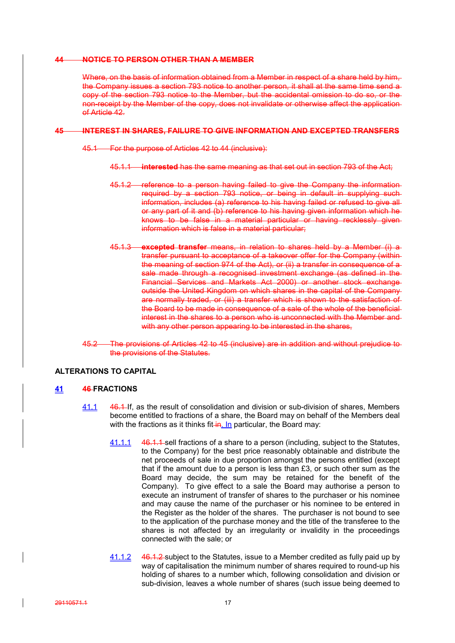#### **44 NOTICE TO PERSON OTHER THAN A MEMBER**

Where, on the basis of information obtained from a Member in respect of a share held by him. the Company issues a section 793 notice to another person, it shall at the same time send a copy of the section 793 notice to the Member, but the accidental omission to do so, or the non-receipt by the Member of the copy, does not invalidate or otherwise affect the application of Article 42.

#### **45 INTEREST IN SHARES, FAILURE TO GIVE INFORMATION AND EXCEPTED TRANSFERS**

- 45.1 For the purpose of Articles 42 to 44 (inclusive):
	- 45.1.1 **interested** has the same meaning as that set out in section 793 of the Act;
	- 45.1.2 reference to a person having failed to give the Company the information required by a section 793 notice, or being in default in supplying such information, includes (a) reference to his having failed or refused to give all or any part of it and (b) reference to his having given information which he knows to be false in a material particular or having recklessly giveninformation which is false in a material particular;
	- 45.1.3 **excepted transfer** means, in relation to shares held by a Member (i) a transfer pursuant to acceptance of a takeover offer for the Company (within the meaning of section 974 of the Act), or (ii) a transfer in consequence of a sale made through a recognised investment exchange (as defined in the Financial Services and Markets Act 2000) or another stock exchange outside the United Kingdom on which shares in the capital of the Company are normally traded, or (iii) a transfer which is shown to the satisfaction of the Board to be made in consequence of a sale of the whole of the beneficial interest in the shares to a person who is unconnected with the Member and with any other person appearing to be interested in the shares.
- 45.2 The provisions of Articles 42 to 45 (inclusive) are in addition and without prejudice to the provisions of the Statutes.

### **ALTERATIONS TO CAPITAL**

## **41 46 FRACTIONS**

- 41.1 46.1 If, as the result of consolidation and division or sub-division of shares, Members become entitled to fractions of a share, the Board may on behalf of the Members deal with the fractions as it thinks fit $\frac{1}{n}$  n particular, the Board may:
	- 41.1.1 46.1.1 sell fractions of a share to a person (including, subject to the Statutes, to the Company) for the best price reasonably obtainable and distribute the net proceeds of sale in due proportion amongst the persons entitled (except that if the amount due to a person is less than £3, or such other sum as the Board may decide, the sum may be retained for the benefit of the Company). To give effect to a sale the Board may authorise a person to execute an instrument of transfer of shares to the purchaser or his nominee and may cause the name of the purchaser or his nominee to be entered in the Register as the holder of the shares. The purchaser is not bound to see to the application of the purchase money and the title of the transferee to the shares is not affected by an irregularity or invalidity in the proceedings connected with the sale; or
	- 41.1.2 46.1.2 subject to the Statutes, issue to a Member credited as fully paid up by way of capitalisation the minimum number of shares required to round-up his holding of shares to a number which, following consolidation and division or sub-division, leaves a whole number of shares (such issue being deemed to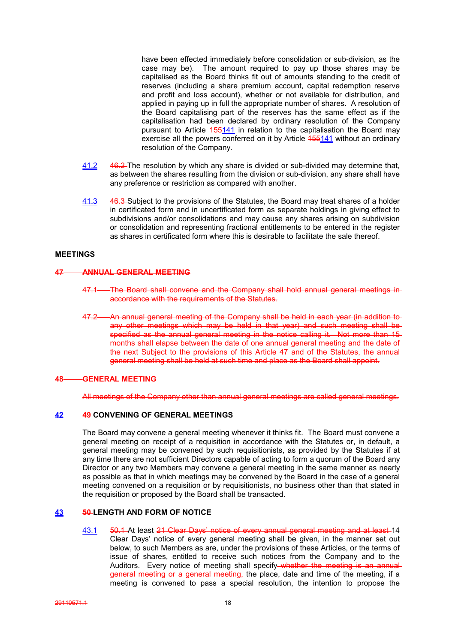have been effected immediately before consolidation or sub-division, as the case may be). The amount required to pay up those shares may be capitalised as the Board thinks fit out of amounts standing to the credit of reserves (including a share premium account, capital redemption reserve and profit and loss account), whether or not available for distribution, and applied in paying up in full the appropriate number of shares. A resolution of the Board capitalising part of the reserves has the same effect as if the capitalisation had been declared by ordinary resolution of the Company pursuant to Article 455141 in relation to the capitalisation the Board may exercise all the powers conferred on it by Article 455141 without an ordinary resolution of the Company.

- 41.2 46.2 The resolution by which any share is divided or sub-divided may determine that, as between the shares resulting from the division or sub-division, any share shall have any preference or restriction as compared with another.
- 41.3 46.3 Subject to the provisions of the Statutes, the Board may treat shares of a holder in certificated form and in uncertificated form as separate holdings in giving effect to subdivisions and/or consolidations and may cause any shares arising on subdivision or consolidation and representing fractional entitlements to be entered in the register as shares in certificated form where this is desirable to facilitate the sale thereof.

## **MEETINGS**

#### **47 ANNUAL GENERAL MEETING**

- 47.1 The Board shall convene and the Company shall hold annual general meetings in accordance with the requirements of the Statutes.
- 47.2 An annual general meeting of the Company shall be held in each year (in addition to any other meetings which may be held in that year) and such meeting shall be specified as the annual general meeting in the notice calling it. Not more than 15 months shall elapse between the date of one annual general meeting and the date of the next Subject to the provisions of this Article 47 and of the Statutes, the annual general meeting shall be held at such time and place as the Board shall appoint.

#### **48 GENERAL MEETING**

All meetings of the Company other than annual general meetings are called general meetings.

## **42 49 CONVENING OF GENERAL MEETINGS**

The Board may convene a general meeting whenever it thinks fit. The Board must convene a general meeting on receipt of a requisition in accordance with the Statutes or, in default, a general meeting may be convened by such requisitionists, as provided by the Statutes if at any time there are not sufficient Directors capable of acting to form a quorum of the Board any Director or any two Members may convene a general meeting in the same manner as nearly as possible as that in which meetings may be convened by the Board in the case of a general meeting convened on a requisition or by requisitionists, no business other than that stated in the requisition or proposed by the Board shall be transacted.

#### **43 50 LENGTH AND FORM OF NOTICE**

43.1 50.1 At least 21 Clear Days' notice of every annual general meeting and at least 14 Clear Days' notice of every general meeting shall be given, in the manner set out below, to such Members as are, under the provisions of these Articles, or the terms of issue of shares, entitled to receive such notices from the Company and to the Auditors. Every notice of meeting shall specify whether the meeting is an annual general meeting or a general meeting, the place, date and time of the meeting, if a meeting is convened to pass a special resolution, the intention to propose the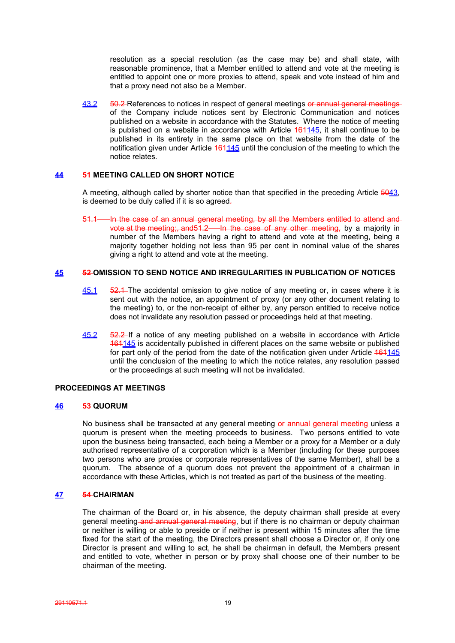resolution as a special resolution (as the case may be) and shall state, with reasonable prominence, that a Member entitled to attend and vote at the meeting is entitled to appoint one or more proxies to attend, speak and vote instead of him and that a proxy need not also be a Member.

43.2 50.2 References to notices in respect of general meetings or annual general meetingsof the Company include notices sent by Electronic Communication and notices published on a website in accordance with the Statutes. Where the notice of meeting is published on a website in accordance with Article  $161145$ , it shall continue to be published in its entirety in the same place on that website from the date of the notification given under Article 161145 until the conclusion of the meeting to which the notice relates.

## **44 51 MEETING CALLED ON SHORT NOTICE**

A meeting, although called by shorter notice than that specified in the preceding Article 5043, is deemed to be duly called if it is so agreed-

In the case of an annual general meeting, by all the Members entitled to attend and vote at the meeting;, and 51.2 In the case of any other meeting, by a majority in number of the Members having a right to attend and vote at the meeting, being a majority together holding not less than 95 per cent in nominal value of the shares giving a right to attend and vote at the meeting.

## **45 52 OMISSION TO SEND NOTICE AND IRREGULARITIES IN PUBLICATION OF NOTICES**

- 45.1 52.1 The accidental omission to give notice of any meeting or, in cases where it is sent out with the notice, an appointment of proxy (or any other document relating to the meeting) to, or the non-receipt of either by, any person entitled to receive notice does not invalidate any resolution passed or proceedings held at that meeting.
- 45.2 52.2 If a notice of any meeting published on a website in accordance with Article 161145 is accidentally published in different places on the same website or published for part only of the period from the date of the notification given under Article  $161145$ until the conclusion of the meeting to which the notice relates, any resolution passed or the proceedings at such meeting will not be invalidated.

## **PROCEEDINGS AT MEETINGS**

## **46 53 QUORUM**

No business shall be transacted at any general meeting or annual general meeting unless a quorum is present when the meeting proceeds to business. Two persons entitled to vote upon the business being transacted, each being a Member or a proxy for a Member or a duly authorised representative of a corporation which is a Member (including for these purposes two persons who are proxies or corporate representatives of the same Member), shall be a quorum. The absence of a quorum does not prevent the appointment of a chairman in accordance with these Articles, which is not treated as part of the business of the meeting.

### **47 54 CHAIRMAN**

The chairman of the Board or, in his absence, the deputy chairman shall preside at every general meeting and annual general meeting, but if there is no chairman or deputy chairman or neither is willing or able to preside or if neither is present within 15 minutes after the time fixed for the start of the meeting, the Directors present shall choose a Director or, if only one Director is present and willing to act, he shall be chairman in default, the Members present and entitled to vote, whether in person or by proxy shall choose one of their number to be chairman of the meeting.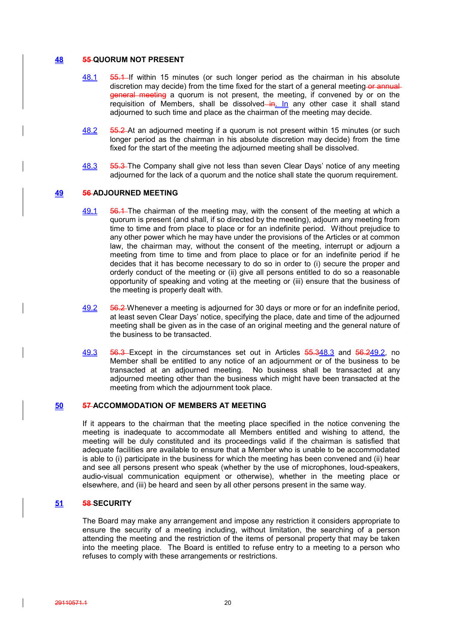#### **48 55 QUORUM NOT PRESENT**

- 48.1 55.1 If within 15 minutes (or such longer period as the chairman in his absolute discretion may decide) from the time fixed for the start of a general meeting-or annual general meeting a quorum is not present, the meeting, if convened by or on the requisition of Members, shall be dissolved- $\frac{ln}{h}$  any other case it shall stand adjourned to such time and place as the chairman of the meeting may decide.
- 48.2 55.2 At an adjourned meeting if a quorum is not present within 15 minutes (or such longer period as the chairman in his absolute discretion may decide) from the time fixed for the start of the meeting the adjourned meeting shall be dissolved.
- 48.3 55.3 The Company shall give not less than seven Clear Days' notice of any meeting adjourned for the lack of a quorum and the notice shall state the quorum requirement.

#### **49 56 ADJOURNED MEETING**

- 49.1 56.4 The chairman of the meeting may, with the consent of the meeting at which a quorum is present (and shall, if so directed by the meeting), adjourn any meeting from time to time and from place to place or for an indefinite period. Without prejudice to any other power which he may have under the provisions of the Articles or at common law, the chairman may, without the consent of the meeting, interrupt or adjourn a meeting from time to time and from place to place or for an indefinite period if he decides that it has become necessary to do so in order to (i) secure the proper and orderly conduct of the meeting or (ii) give all persons entitled to do so a reasonable opportunity of speaking and voting at the meeting or (iii) ensure that the business of the meeting is properly dealt with.
- 49.2 56.2 Whenever a meeting is adjourned for 30 days or more or for an indefinite period, at least seven Clear Days' notice, specifying the place, date and time of the adjourned meeting shall be given as in the case of an original meeting and the general nature of the business to be transacted.
- 49.3 56.3 Except in the circumstances set out in Articles 55.348.3 and 56.249.2, no Member shall be entitled to any notice of an adjournment or of the business to be transacted at an adjourned meeting. No business shall be transacted at any adjourned meeting other than the business which might have been transacted at the meeting from which the adjournment took place.

## **50 57 ACCOMMODATION OF MEMBERS AT MEETING**

If it appears to the chairman that the meeting place specified in the notice convening the meeting is inadequate to accommodate all Members entitled and wishing to attend, the meeting will be duly constituted and its proceedings valid if the chairman is satisfied that adequate facilities are available to ensure that a Member who is unable to be accommodated is able to (i) participate in the business for which the meeting has been convened and (ii) hear and see all persons present who speak (whether by the use of microphones, loud-speakers, audio-visual communication equipment or otherwise), whether in the meeting place or elsewhere, and (iii) be heard and seen by all other persons present in the same way.

#### **51 58 SECURITY**

The Board may make any arrangement and impose any restriction it considers appropriate to ensure the security of a meeting including, without limitation, the searching of a person attending the meeting and the restriction of the items of personal property that may be taken into the meeting place. The Board is entitled to refuse entry to a meeting to a person who refuses to comply with these arrangements or restrictions.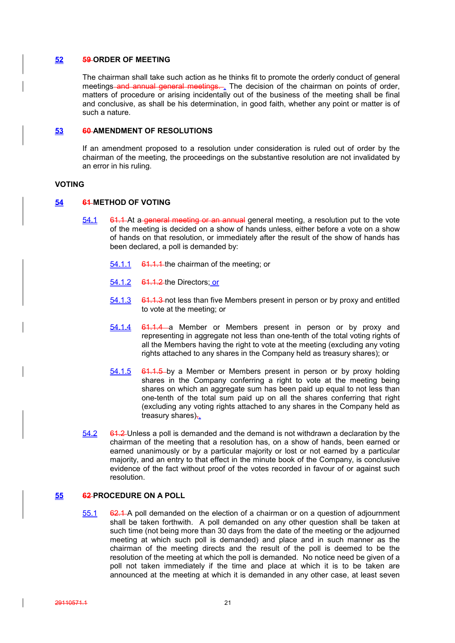#### **52 59 ORDER OF MEETING**

The chairman shall take such action as he thinks fit to promote the orderly conduct of general meetings and annual general meetings. The decision of the chairman on points of order, matters of procedure or arising incidentally out of the business of the meeting shall be final and conclusive, as shall be his determination, in good faith, whether any point or matter is of such a nature.

## **53 60 AMENDMENT OF RESOLUTIONS**

If an amendment proposed to a resolution under consideration is ruled out of order by the chairman of the meeting, the proceedings on the substantive resolution are not invalidated by an error in his ruling.

#### **VOTING**

#### **54 61 METHOD OF VOTING**

- 54.1 61.1 At a general meeting or an annual general meeting, a resolution put to the vote of the meeting is decided on a show of hands unless, either before a vote on a show of hands on that resolution, or immediately after the result of the show of hands has been declared, a poll is demanded by:
	- 54.1.1 61.1.1 the chairman of the meeting; or
	- 54.1.2 61.1.2 the Directors; or
	- 54.1.3 64.1.3 not less than five Members present in person or by proxy and entitled to vote at the meeting; or
	- 54.1.4 61.1.4 a Member or Members present in person or by proxy and representing in aggregate not less than one-tenth of the total voting rights of all the Members having the right to vote at the meeting (excluding any voting rights attached to any shares in the Company held as treasury shares); or
	- 54.1.5 61.1.5 by a Member or Members present in person or by proxy holding shares in the Company conferring a right to vote at the meeting being shares on which an aggregate sum has been paid up equal to not less than one-tenth of the total sum paid up on all the shares conferring that right (excluding any voting rights attached to any shares in the Company held as treasury shares).
- 54.2 61.2 Unless a poll is demanded and the demand is not withdrawn a declaration by the chairman of the meeting that a resolution has, on a show of hands, been earned or earned unanimously or by a particular majority or lost or not earned by a particular majority, and an entry to that effect in the minute book of the Company, is conclusive evidence of the fact without proof of the votes recorded in favour of or against such resolution.

## **55 62 PROCEDURE ON A POLL**

55.1 62.1 A poll demanded on the election of a chairman or on a question of adjournment shall be taken forthwith. A poll demanded on any other question shall be taken at such time (not being more than 30 days from the date of the meeting or the adjourned meeting at which such poll is demanded) and place and in such manner as the chairman of the meeting directs and the result of the poll is deemed to be the resolution of the meeting at which the poll is demanded. No notice need be given of a poll not taken immediately if the time and place at which it is to be taken are announced at the meeting at which it is demanded in any other case, at least seven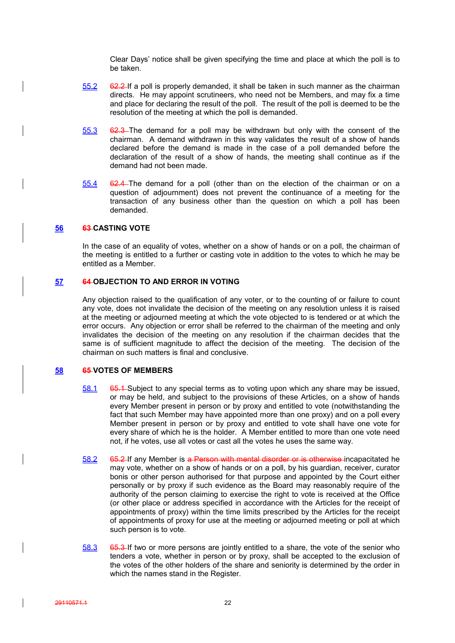Clear Days' notice shall be given specifying the time and place at which the poll is to be taken.

- $55.2$  62.2 If a poll is properly demanded, it shall be taken in such manner as the chairman directs. He may appoint scrutineers, who need not be Members, and may fix a time and place for declaring the result of the poll. The result of the poll is deemed to be the resolution of the meeting at which the poll is demanded.
- 55.3 62.3 The demand for a poll may be withdrawn but only with the consent of the chairman. A demand withdrawn in this way validates the result of a show of hands declared before the demand is made in the case of a poll demanded before the declaration of the result of a show of hands, the meeting shall continue as if the demand had not been made.
- 55.4 62.4 The demand for a poll (other than on the election of the chairman or on a question of adjournment) does not prevent the continuance of a meeting for the transaction of any business other than the question on which a poll has been demanded.

## **56 63 CASTING VOTE**

In the case of an equality of votes, whether on a show of hands or on a poll, the chairman of the meeting is entitled to a further or casting vote in addition to the votes to which he may be entitled as a Member.

## **57 64 OBJECTION TO AND ERROR IN VOTING**

Any objection raised to the qualification of any voter, or to the counting of or failure to count any vote, does not invalidate the decision of the meeting on any resolution unless it is raised at the meeting or adjourned meeting at which the vote objected to is tendered or at which the error occurs. Any objection or error shall be referred to the chairman of the meeting and only invalidates the decision of the meeting on any resolution if the chairman decides that the same is of sufficient magnitude to affect the decision of the meeting. The decision of the chairman on such matters is final and conclusive.

## **58 65 VOTES OF MEMBERS**

- 58.1 65.1 Subject to any special terms as to voting upon which any share may be issued, or may be held, and subject to the provisions of these Articles, on a show of hands every Member present in person or by proxy and entitled to vote (notwithstanding the fact that such Member may have appointed more than one proxy) and on a poll every Member present in person or by proxy and entitled to vote shall have one vote for every share of which he is the holder. A Member entitled to more than one vote need not, if he votes, use all votes or cast all the votes he uses the same way.
- 58.2 65.2 If any Member is a Person with mental disorder or is otherwise incapacitated he may vote, whether on a show of hands or on a poll, by his guardian, receiver, curator bonis or other person authorised for that purpose and appointed by the Court either personally or by proxy if such evidence as the Board may reasonably require of the authority of the person claiming to exercise the right to vote is received at the Office (or other place or address specified in accordance with the Articles for the receipt of appointments of proxy) within the time limits prescribed by the Articles for the receipt of appointments of proxy for use at the meeting or adjourned meeting or poll at which such person is to vote.
- 58.3 65.3 If two or more persons are jointly entitled to a share, the vote of the senior who tenders a vote, whether in person or by proxy, shall be accepted to the exclusion of the votes of the other holders of the share and seniority is determined by the order in which the names stand in the Register.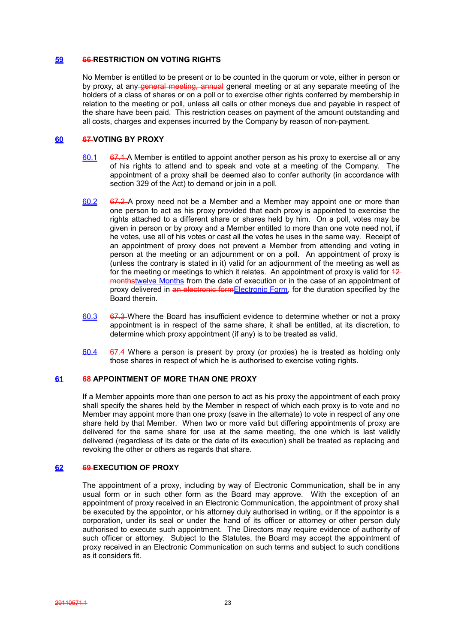### **59 66 RESTRICTION ON VOTING RIGHTS**

No Member is entitled to be present or to be counted in the quorum or vote, either in person or by proxy, at any general meeting, annual general meeting or at any separate meeting of the holders of a class of shares or on a poll or to exercise other rights conferred by membership in relation to the meeting or poll, unless all calls or other moneys due and payable in respect of the share have been paid. This restriction ceases on payment of the amount outstanding and all costs, charges and expenses incurred by the Company by reason of non-payment.

## **60 67 VOTING BY PROXY**

- $60.1$  67.1 A Member is entitled to appoint another person as his proxy to exercise all or any of his rights to attend and to speak and vote at a meeting of the Company. The appointment of a proxy shall be deemed also to confer authority (in accordance with section 329 of the Act) to demand or join in a poll.
- 60.2 67.2 A proxy need not be a Member and a Member may appoint one or more than one person to act as his proxy provided that each proxy is appointed to exercise the rights attached to a different share or shares held by him. On a poll, votes may be given in person or by proxy and a Member entitled to more than one vote need not, if he votes, use all of his votes or cast all the votes he uses in the same way. Receipt of an appointment of proxy does not prevent a Member from attending and voting in person at the meeting or an adjournment or on a poll. An appointment of proxy is (unless the contrary is stated in it) valid for an adjournment of the meeting as well as for the meeting or meetings to which it relates. An appointment of proxy is valid for  $42$ monthstwelve Months from the date of execution or in the case of an appointment of proxy delivered in an electronic formElectronic Form, for the duration specified by the Board therein.
- 60.3 67.3 Where the Board has insufficient evidence to determine whether or not a proxy appointment is in respect of the same share, it shall be entitled, at its discretion, to determine which proxy appointment (if any) is to be treated as valid.
- $60.4$  67.4 Where a person is present by proxy (or proxies) he is treated as holding only those shares in respect of which he is authorised to exercise voting rights.

## **61 68 APPOINTMENT OF MORE THAN ONE PROXY**

If a Member appoints more than one person to act as his proxy the appointment of each proxy shall specify the shares held by the Member in respect of which each proxy is to vote and no Member may appoint more than one proxy (save in the alternate) to vote in respect of any one share held by that Member. When two or more valid but differing appointments of proxy are delivered for the same share for use at the same meeting, the one which is last validly delivered (regardless of its date or the date of its execution) shall be treated as replacing and revoking the other or others as regards that share.

## **62 69 EXECUTION OF PROXY**

The appointment of a proxy, including by way of Electronic Communication, shall be in any usual form or in such other form as the Board may approve. With the exception of an appointment of proxy received in an Electronic Communication, the appointment of proxy shall be executed by the appointor, or his attorney duly authorised in writing, or if the appointor is a corporation, under its seal or under the hand of its officer or attorney or other person duly authorised to execute such appointment. The Directors may require evidence of authority of such officer or attorney. Subject to the Statutes, the Board may accept the appointment of proxy received in an Electronic Communication on such terms and subject to such conditions as it considers fit.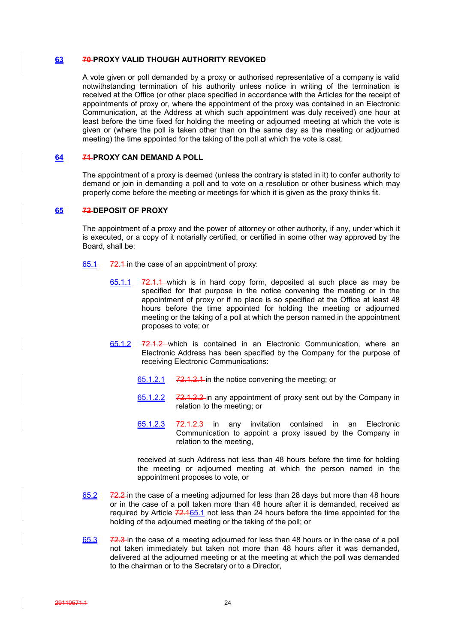#### **63 70 PROXY VALID THOUGH AUTHORITY REVOKED**

A vote given or poll demanded by a proxy or authorised representative of a company is valid notwithstanding termination of his authority unless notice in writing of the termination is received at the Office (or other place specified in accordance with the Articles for the receipt of appointments of proxy or, where the appointment of the proxy was contained in an Electronic Communication, at the Address at which such appointment was duly received) one hour at least before the time fixed for holding the meeting or adjourned meeting at which the vote is given or (where the poll is taken other than on the same day as the meeting or adjourned meeting) the time appointed for the taking of the poll at which the vote is cast.

## **64 71 PROXY CAN DEMAND A POLL**

The appointment of a proxy is deemed (unless the contrary is stated in it) to confer authority to demand or join in demanding a poll and to vote on a resolution or other business which may properly come before the meeting or meetings for which it is given as the proxy thinks fit.

## **65 72 DEPOSIT OF PROXY**

The appointment of a proxy and the power of attorney or other authority, if any, under which it is executed, or a copy of it notarially certified, or certified in some other way approved by the Board, shall be:

- 65.1 72.1 in the case of an appointment of proxy:
	- $65.1.1$   $72.1.1$  which is in hard copy form, deposited at such place as may be specified for that purpose in the notice convening the meeting or in the appointment of proxy or if no place is so specified at the Office at least 48 hours before the time appointed for holding the meeting or adjourned meeting or the taking of a poll at which the person named in the appointment proposes to vote; or
	- 65.1.2 72.1.2 which is contained in an Electronic Communication, where an Electronic Address has been specified by the Company for the purpose of receiving Electronic Communications:
		- 65.1.2.1 72.1.2.1 in the notice convening the meeting; or
		- 65.1.2.2 72.1.2.2 in any appointment of proxy sent out by the Company in relation to the meeting; or
		- 65.1.2.3 72.1.2.3 in any invitation contained in an Electronic Communication to appoint a proxy issued by the Company in relation to the meeting,

received at such Address not less than 48 hours before the time for holding the meeting or adjourned meeting at which the person named in the appointment proposes to vote, or

- 65.2 72.2 in the case of a meeting adjourned for less than 28 days but more than 48 hours or in the case of a poll taken more than 48 hours after it is demanded, received as required by Article  $72.165.1$  not less than 24 hours before the time appointed for the holding of the adjourned meeting or the taking of the poll; or
- 65.3 72.3 in the case of a meeting adjourned for less than 48 hours or in the case of a poll not taken immediately but taken not more than 48 hours after it was demanded, delivered at the adjourned meeting or at the meeting at which the poll was demanded to the chairman or to the Secretary or to a Director,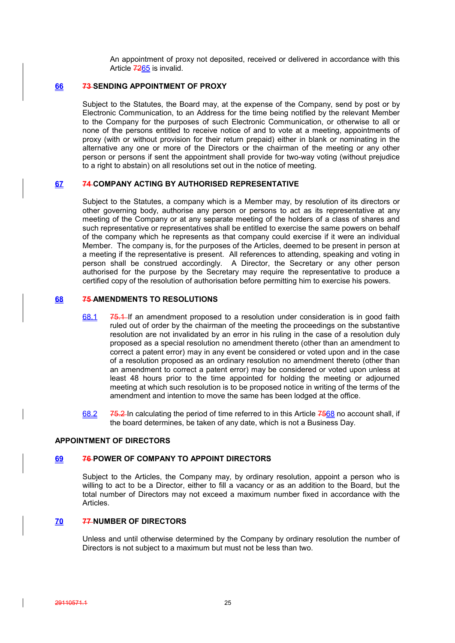An appointment of proxy not deposited, received or delivered in accordance with this Article 7265 is invalid.

## **66 73 SENDING APPOINTMENT OF PROXY**

Subject to the Statutes, the Board may, at the expense of the Company, send by post or by Electronic Communication, to an Address for the time being notified by the relevant Member to the Company for the purposes of such Electronic Communication, or otherwise to all or none of the persons entitled to receive notice of and to vote at a meeting, appointments of proxy (with or without provision for their return prepaid) either in blank or nominating in the alternative any one or more of the Directors or the chairman of the meeting or any other person or persons if sent the appointment shall provide for two-way voting (without prejudice to a right to abstain) on all resolutions set out in the notice of meeting.

## **67 74 COMPANY ACTING BY AUTHORISED REPRESENTATIVE**

Subject to the Statutes, a company which is a Member may, by resolution of its directors or other governing body, authorise any person or persons to act as its representative at any meeting of the Company or at any separate meeting of the holders of a class of shares and such representative or representatives shall be entitled to exercise the same powers on behalf of the company which he represents as that company could exercise if it were an individual Member. The company is, for the purposes of the Articles, deemed to be present in person at a meeting if the representative is present. All references to attending, speaking and voting in person shall be construed accordingly. A Director, the Secretary or any other person authorised for the purpose by the Secretary may require the representative to produce a certified copy of the resolution of authorisation before permitting him to exercise his powers.

## **68 75 AMENDMENTS TO RESOLUTIONS**

- 68.1 75.1 If an amendment proposed to a resolution under consideration is in good faith ruled out of order by the chairman of the meeting the proceedings on the substantive resolution are not invalidated by an error in his ruling in the case of a resolution duly proposed as a special resolution no amendment thereto (other than an amendment to correct a patent error) may in any event be considered or voted upon and in the case of a resolution proposed as an ordinary resolution no amendment thereto (other than an amendment to correct a patent error) may be considered or voted upon unless at least 48 hours prior to the time appointed for holding the meeting or adjourned meeting at which such resolution is to be proposed notice in writing of the terms of the amendment and intention to move the same has been lodged at the office.
- 68.2 75.2 In calculating the period of time referred to in this Article 7568 no account shall, if the board determines, be taken of any date, which is not a Business Day.

## **APPOINTMENT OF DIRECTORS**

### **69 76 POWER OF COMPANY TO APPOINT DIRECTORS**

Subject to the Articles, the Company may, by ordinary resolution, appoint a person who is willing to act to be a Director, either to fill a vacancy or as an addition to the Board, but the total number of Directors may not exceed a maximum number fixed in accordance with the Articles.

### **70 77 NUMBER OF DIRECTORS**

Unless and until otherwise determined by the Company by ordinary resolution the number of Directors is not subject to a maximum but must not be less than two.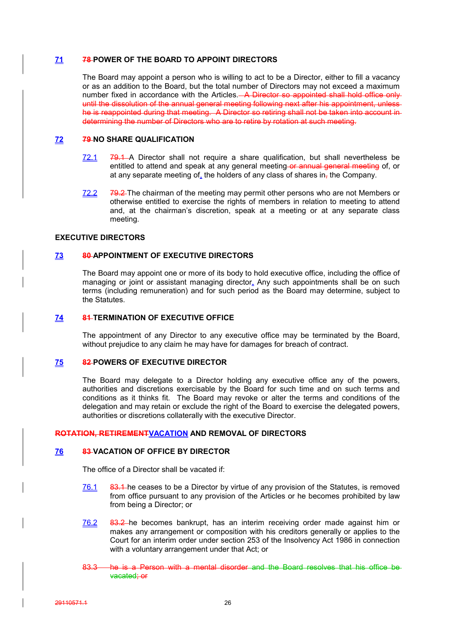## **71 78 POWER OF THE BOARD TO APPOINT DIRECTORS**

The Board may appoint a person who is willing to act to be a Director, either to fill a vacancy or as an addition to the Board, but the total number of Directors may not exceed a maximum number fixed in accordance with the Articles. A Director so appointed shall hold office only until the dissolution of the annual general meeting following next after his appointment, unlesshe is reappointed during that meeting. A Director so retiring shall not be taken into account indetermining the number of Directors who are to retire by rotation at such meeting.

## **72 79 NO SHARE QUALIFICATION**

- $72.1$   $79.1$  A Director shall not require a share qualification, but shall nevertheless be entitled to attend and speak at any general meeting or annual general meeting of, or at any separate meeting of, the holders of any class of shares in, the Company.
- 72.2 79.2 The chairman of the meeting may permit other persons who are not Members or otherwise entitled to exercise the rights of members in relation to meeting to attend and, at the chairman's discretion, speak at a meeting or at any separate class meeting.

## **EXECUTIVE DIRECTORS**

## **73 80 APPOINTMENT OF EXECUTIVE DIRECTORS**

The Board may appoint one or more of its body to hold executive office, including the office of managing or joint or assistant managing director. Any such appointments shall be on such terms (including remuneration) and for such period as the Board may determine, subject to the Statutes.

## **74 81 TERMINATION OF EXECUTIVE OFFICE**

The appointment of any Director to any executive office may be terminated by the Board, without prejudice to any claim he may have for damages for breach of contract.

#### **75 82 POWERS OF EXECUTIVE DIRECTOR**

The Board may delegate to a Director holding any executive office any of the powers, authorities and discretions exercisable by the Board for such time and on such terms and conditions as it thinks fit. The Board may revoke or alter the terms and conditions of the delegation and may retain or exclude the right of the Board to exercise the delegated powers, authorities or discretions collaterally with the executive Director.

### **ROTATION, RETIREMENTVACATION AND REMOVAL OF DIRECTORS**

## **76 83 VACATION OF OFFICE BY DIRECTOR**

The office of a Director shall be vacated if:

- 76.1 83.1 he ceases to be a Director by virtue of any provision of the Statutes, is removed from office pursuant to any provision of the Articles or he becomes prohibited by law from being a Director; or
- 76.2 83.2 he becomes bankrupt, has an interim receiving order made against him or makes any arrangement or composition with his creditors generally or applies to the Court for an interim order under section 253 of the Insolvency Act 1986 in connection with a voluntary arrangement under that Act; or
- 83.3 **he is a Person with a mental disorder** and the Board resolves that his office be vacated; or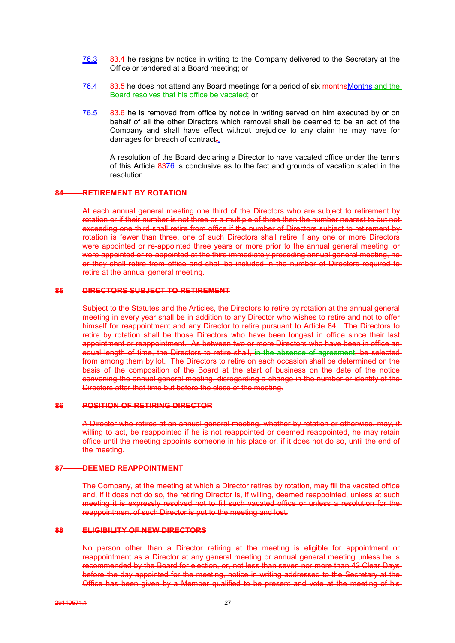- 76.3 83.4 he resigns by notice in writing to the Company delivered to the Secretary at the Office or tendered at a Board meeting; or
- 76.4 83.5 he does not attend any Board meetings for a period of six months Months and the Board resolves that his office be vacated; or
- 76.5 83.6 he is removed from office by notice in writing served on him executed by or on behalf of all the other Directors which removal shall be deemed to be an act of the Company and shall have effect without prejudice to any claim he may have for damages for breach of contract,.

A resolution of the Board declaring a Director to have vacated office under the terms of this Article 8376 is conclusive as to the fact and grounds of vacation stated in the resolution.

## **84 RETIREMENT BY ROTATION**

At each annual general meeting one third of the Directors who are subject to retirement by rotation or if their number is not three or a multiple of three then the number nearest to but not exceeding one third shall retire from office if the number of Directors subject to retirement by rotation is fewer than three, one of such Directors shall retire if any one or more Directors were appointed or re-appointed three years or more prior to the annual general meeting, or were appointed or re-appointed at the third immediately preceding annual general meeting, he or they shall retire from office and shall be included in the number of Directors required to retire at the annual general meeting.

#### **85 DIRECTORS SUBJECT TO RETIREMENT**

Subject to the Statutes and the Articles, the Directors to retire by rotation at the annual general meeting in every year shall be in addition to any Director who wishes to retire and not to offer himself for reappointment and any Director to retire pursuant to Article 84. The Directors to retire by rotation shall be those Directors who have been longest in office since their last appointment or reappointment. As between two or more Directors who have been in office an equal length of time, the Directors to retire shall, in the absence of agreement, be selected from among them by lot. The Directors to retire on each occasion shall be determined on the basis of the composition of the Board at the start of business on the date of the notice convening the annual general meeting, disregarding a change in the number or identity of the Directors after that time but before the close of the meeting.

## **86 POSITION OF RETIRING DIRECTOR**

A Director who retires at an annual general meeting, whether by rotation or otherwise, may, if willing to act, be reappointed if he is not reappointed or deemed reappointed, he may retain office until the meeting appoints someone in his place or, if it does not do so, until the end of the meeting.

#### **87 DEEMED REAPPOINTMENT**

The Company, at the meeting at which a Director retires by rotation, may fill the vacated office and, if it does not do so, the retiring Director is, if willing, deemed reappointed, unless at such meeting it is expressly resolved not to fill such vacated office or unless a resolution for the reappointment of such Director is put to the meeting and lost.

## **88 ELIGIBILITY OF NEW DIRECTORS**

No person other than a Director retiring at the meeting is eligible for appointment or reappointment as a Director at any general meeting or annual general meeting unless he is recommended by the Board for election, or, not less than seven nor more than 42 Clear Days before the day appointed for the meeting, notice in writing addressed to the Secretary at the Office has been given by a Member qualified to be present and vote at the meeting of his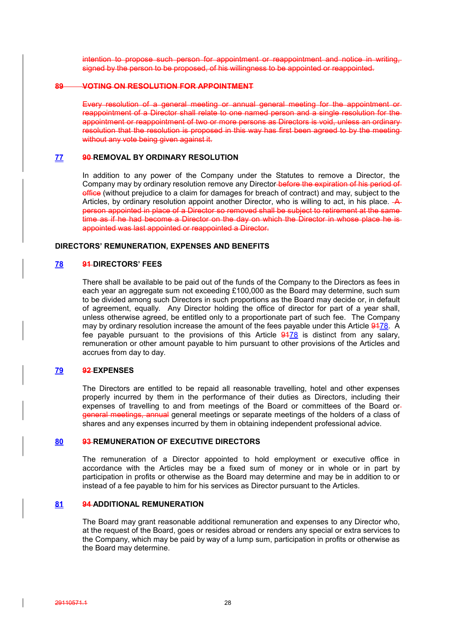intention to propose such person for appointment or reappointment and notice in writing, signed by the person to be proposed, of his willingness to be appointed or reappointed.

### **89 VOTING ON RESOLUTION FOR APPOINTMENT**

Every resolution of a general meeting or annual general meeting for the appointment or reappointment of a Director shall relate to one named person and a single resolution for the appointment or reappointment of two or more persons as Directors is void, unless an ordinary resolution that the resolution is proposed in this way has first been agreed to by the meeting without any vote being given against it.

### **77 90 REMOVAL BY ORDINARY RESOLUTION**

In addition to any power of the Company under the Statutes to remove a Director, the Company may by ordinary resolution remove any Director-before the expiration of his period of office (without prejudice to a claim for damages for breach of contract) and may, subject to the Articles, by ordinary resolution appoint another Director, who is willing to act, in his place.  $A$ person appointed in place of a Director so removed shall be subject to retirement at the same time as if he had become a Director on the day on which the Director in whose place he isappointed was last appointed or reappointed a Director.

### **DIRECTORS' REMUNERATION, EXPENSES AND BENEFITS**

## **78 91 DIRECTORS' FEES**

There shall be available to be paid out of the funds of the Company to the Directors as fees in each year an aggregate sum not exceeding £100,000 as the Board may determine, such sum to be divided among such Directors in such proportions as the Board may decide or, in default of agreement, equally. Any Director holding the office of director for part of a year shall, unless otherwise agreed, be entitled only to a proportionate part of such fee. The Company may by ordinary resolution increase the amount of the fees payable under this Article 9478. A fee payable pursuant to the provisions of this Article  $\frac{9478}{918}$  is distinct from any salary, remuneration or other amount payable to him pursuant to other provisions of the Articles and accrues from day to day.

### **79 92 EXPENSES**

The Directors are entitled to be repaid all reasonable travelling, hotel and other expenses properly incurred by them in the performance of their duties as Directors, including their expenses of travelling to and from meetings of the Board or committees of the Board or general meetings, annual general meetings or separate meetings of the holders of a class of shares and any expenses incurred by them in obtaining independent professional advice.

## **80 93 REMUNERATION OF EXECUTIVE DIRECTORS**

The remuneration of a Director appointed to hold employment or executive office in accordance with the Articles may be a fixed sum of money or in whole or in part by participation in profits or otherwise as the Board may determine and may be in addition to or instead of a fee payable to him for his services as Director pursuant to the Articles.

#### **81 94 ADDITIONAL REMUNERATION**

The Board may grant reasonable additional remuneration and expenses to any Director who, at the request of the Board, goes or resides abroad or renders any special or extra services to the Company, which may be paid by way of a lump sum, participation in profits or otherwise as the Board may determine.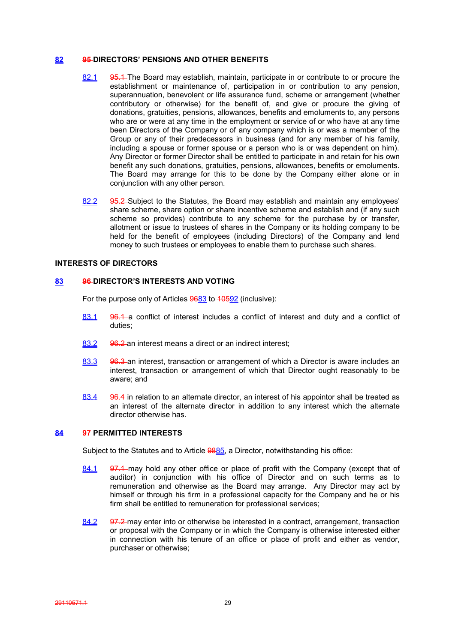## **82 95 DIRECTORS' PENSIONS AND OTHER BENEFITS**

- 82.1 95.1 The Board may establish, maintain, participate in or contribute to or procure the establishment or maintenance of, participation in or contribution to any pension, superannuation, benevolent or life assurance fund, scheme or arrangement (whether contributory or otherwise) for the benefit of, and give or procure the giving of donations, gratuities, pensions, allowances, benefits and emoluments to, any persons who are or were at any time in the employment or service of or who have at any time been Directors of the Company or of any company which is or was a member of the Group or any of their predecessors in business (and for any member of his family, including a spouse or former spouse or a person who is or was dependent on him). Any Director or former Director shall be entitled to participate in and retain for his own benefit any such donations, gratuities, pensions, allowances, benefits or emoluments. The Board may arrange for this to be done by the Company either alone or in conjunction with any other person.
- 82.2 95.2 Subject to the Statutes, the Board may establish and maintain any employees' share scheme, share option or share incentive scheme and establish and (if any such scheme so provides) contribute to any scheme for the purchase by or transfer, allotment or issue to trustees of shares in the Company or its holding company to be held for the benefit of employees (including Directors) of the Company and lend money to such trustees or employees to enable them to purchase such shares.

#### **INTERESTS OF DIRECTORS**

## **83 96 DIRECTOR'S INTERESTS AND VOTING**

For the purpose only of Articles 9683 to 40592 (inclusive):

- 83.1 96.1 a conflict of interest includes a conflict of interest and duty and a conflict of duties;
- 83.2 96.2 an interest means a direct or an indirect interest;
- 83.3 96.3 an interest, transaction or arrangement of which a Director is aware includes an interest, transaction or arrangement of which that Director ought reasonably to be aware; and
- 83.4 96.4 in relation to an alternate director, an interest of his appointor shall be treated as an interest of the alternate director in addition to any interest which the alternate director otherwise has.

## **84 97 PERMITTED INTERESTS**

Subject to the Statutes and to Article 9885, a Director, notwithstanding his office:

- 84.1 97.1 may hold any other office or place of profit with the Company (except that of auditor) in conjunction with his office of Director and on such terms as to remuneration and otherwise as the Board may arrange. Any Director may act by himself or through his firm in a professional capacity for the Company and he or his firm shall be entitled to remuneration for professional services;
- 84.2 97.2 may enter into or otherwise be interested in a contract, arrangement, transaction or proposal with the Company or in which the Company is otherwise interested either in connection with his tenure of an office or place of profit and either as vendor, purchaser or otherwise;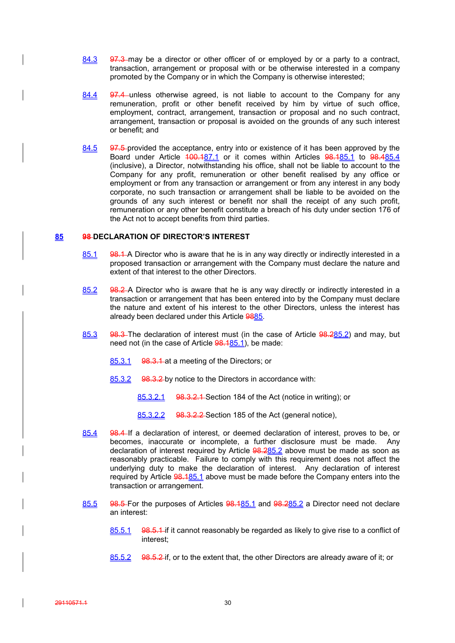- 84.3 97.3 may be a director or other officer of or employed by or a party to a contract, transaction, arrangement or proposal with or be otherwise interested in a company promoted by the Company or in which the Company is otherwise interested;
- 84.4 97.4 unless otherwise agreed, is not liable to account to the Company for any remuneration, profit or other benefit received by him by virtue of such office, employment, contract, arrangement, transaction or proposal and no such contract, arrangement, transaction or proposal is avoided on the grounds of any such interest or benefit; and
- 84.5 97.5-provided the acceptance, entry into or existence of it has been approved by the Board under Article 100.187.1 or it comes within Articles 98.185.1 to 98.485.4 (inclusive), a Director, notwithstanding his office, shall not be liable to account to the Company for any profit, remuneration or other benefit realised by any office or employment or from any transaction or arrangement or from any interest in any body corporate, no such transaction or arrangement shall be liable to be avoided on the grounds of any such interest or benefit nor shall the receipt of any such profit, remuneration or any other benefit constitute a breach of his duty under section 176 of the Act not to accept benefits from third parties.

### **85 98 DECLARATION OF DIRECTOR'S INTEREST**

- 85.1 98.1 A Director who is aware that he is in any way directly or indirectly interested in a proposed transaction or arrangement with the Company must declare the nature and extent of that interest to the other Directors.
- 85.2 98.2 A Director who is aware that he is any way directly or indirectly interested in a transaction or arrangement that has been entered into by the Company must declare the nature and extent of his interest to the other Directors, unless the interest has already been declared under this Article 9885.
- 85.3 98.3 The declaration of interest must (in the case of Article 98.285.2) and may, but need not (in the case of Article 98.185.1), be made:
	- 85.3.1 98.3.1 at a meeting of the Directors; or
	- 85.3.2 98.3.2 by notice to the Directors in accordance with:
		- 85.3.2.1 98.3.2.1 Section 184 of the Act (notice in writing); or
		- 85.3.2.2 98.3.2.2 Section 185 of the Act (general notice),
- 85.4 98.4 If a declaration of interest, or deemed declaration of interest, proves to be, or becomes, inaccurate or incomplete, a further disclosure must be made. Any declaration of interest required by Article 98.285.2 above must be made as soon as reasonably practicable. Failure to comply with this requirement does not affect the underlying duty to make the declaration of interest. Any declaration of interest required by Article 98.185.1 above must be made before the Company enters into the transaction or arrangement.
- 85.5 98.5 For the purposes of Articles 98.185.1 and 98.285.2 a Director need not declare an interest:
	- 85.5.1 98.5.1 if it cannot reasonably be regarded as likely to give rise to a conflict of interest;
	- 85.5.2 98.5.2 if, or to the extent that, the other Directors are already aware of it; or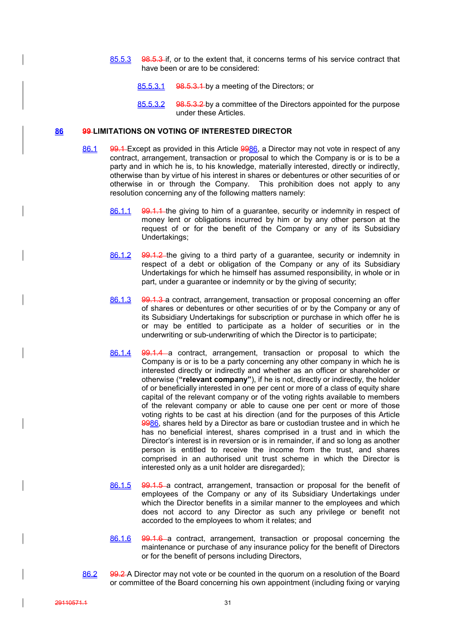- 85.5.3 98.5.3 if, or to the extent that, it concerns terms of his service contract that have been or are to be considered:
	- 85.5.3.1 98.5.3.1 by a meeting of the Directors; or
	- 85.5.3.2 98.5.3.2 by a committee of the Directors appointed for the purpose under these Articles.

## **86 99 LIMITATIONS ON VOTING OF INTERESTED DIRECTOR**

- 86.1 99.1 Except as provided in this Article 9986, a Director may not vote in respect of any contract, arrangement, transaction or proposal to which the Company is or is to be a party and in which he is, to his knowledge, materially interested, directly or indirectly, otherwise than by virtue of his interest in shares or debentures or other securities of or otherwise in or through the Company. This prohibition does not apply to any resolution concerning any of the following matters namely:
	- 86.1.1 99.1.1 the giving to him of a guarantee, security or indemnity in respect of money lent or obligations incurred by him or by any other person at the request of or for the benefit of the Company or any of its Subsidiary Undertakings;
	- 86.1.2 99.1.2 the giving to a third party of a guarantee, security or indemnity in respect of a debt or obligation of the Company or any of its Subsidiary Undertakings for which he himself has assumed responsibility, in whole or in part, under a guarantee or indemnity or by the giving of security;
	- 86.1.3 99.1.3 a contract, arrangement, transaction or proposal concerning an offer of shares or debentures or other securities of or by the Company or any of its Subsidiary Undertakings for subscription or purchase in which offer he is or may be entitled to participate as a holder of securities or in the underwriting or sub-underwriting of which the Director is to participate;
	- 86.1.4 99.1.4 a contract, arrangement, transaction or proposal to which the Company is or is to be a party concerning any other company in which he is interested directly or indirectly and whether as an officer or shareholder or otherwise (**"relevant company"**), if he is not, directly or indirectly, the holder of or beneficially interested in one per cent or more of a class of equity share capital of the relevant company or of the voting rights available to members of the relevant company or able to cause one per cent or more of those voting rights to be cast at his direction (and for the purposes of this Article 9986, shares held by a Director as bare or custodian trustee and in which he has no beneficial interest, shares comprised in a trust and in which the Director's interest is in reversion or is in remainder, if and so long as another person is entitled to receive the income from the trust, and shares comprised in an authorised unit trust scheme in which the Director is interested only as a unit holder are disregarded);
	- 86.1.5 99.1.5 a contract, arrangement, transaction or proposal for the benefit of employees of the Company or any of its Subsidiary Undertakings under which the Director benefits in a similar manner to the employees and which does not accord to any Director as such any privilege or benefit not accorded to the employees to whom it relates; and
	- 86.1.6 99.1.6 a contract, arrangement, transaction or proposal concerning the maintenance or purchase of any insurance policy for the benefit of Directors or for the benefit of persons including Directors,
- 86.2 99.2 A Director may not vote or be counted in the quorum on a resolution of the Board or committee of the Board concerning his own appointment (including fixing or varying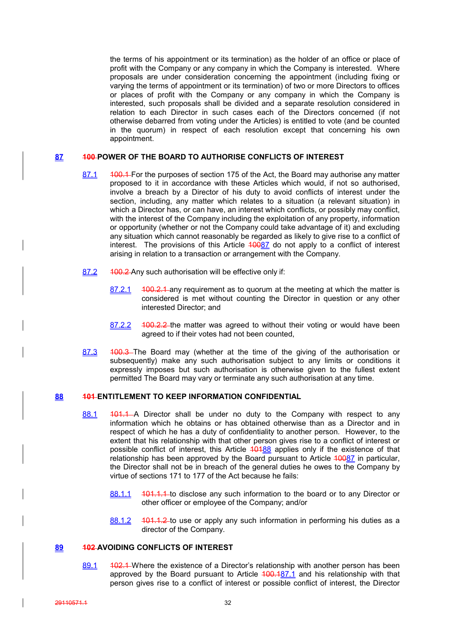the terms of his appointment or its termination) as the holder of an office or place of profit with the Company or any company in which the Company is interested. Where proposals are under consideration concerning the appointment (including fixing or varying the terms of appointment or its termination) of two or more Directors to offices or places of profit with the Company or any company in which the Company is interested, such proposals shall be divided and a separate resolution considered in relation to each Director in such cases each of the Directors concerned (if not otherwise debarred from voting under the Articles) is entitled to vote (and be counted in the quorum) in respect of each resolution except that concerning his own appointment.

### **87 100 POWER OF THE BOARD TO AUTHORISE CONFLICTS OF INTEREST**

- 87.1 400.1 For the purposes of section 175 of the Act, the Board may authorise any matter proposed to it in accordance with these Articles which would, if not so authorised, involve a breach by a Director of his duty to avoid conflicts of interest under the section, including, any matter which relates to a situation (a relevant situation) in which a Director has, or can have, an interest which conflicts, or possibly may conflict, with the interest of the Company including the exploitation of any property, information or opportunity (whether or not the Company could take advantage of it) and excluding any situation which cannot reasonably be regarded as likely to give rise to a conflict of interest. The provisions of this Article  $40087$  do not apply to a conflict of interest arising in relation to a transaction or arrangement with the Company.
- 87.2 400.2 Any such authorisation will be effective only if:
	- 87.2.1 400.2.1 any requirement as to quorum at the meeting at which the matter is considered is met without counting the Director in question or any other interested Director; and
	- 87.2.2 100.2.2 the matter was agreed to without their voting or would have been agreed to if their votes had not been counted,
- 87.3 400.3 The Board may (whether at the time of the giving of the authorisation or subsequently) make any such authorisation subject to any limits or conditions it expressly imposes but such authorisation is otherwise given to the fullest extent permitted The Board may vary or terminate any such authorisation at any time.

## **88 101 ENTITLEMENT TO KEEP INFORMATION CONFIDENTIAL**

- 88.1 401.1 A Director shall be under no duty to the Company with respect to any information which he obtains or has obtained otherwise than as a Director and in respect of which he has a duty of confidentiality to another person. However, to the extent that his relationship with that other person gives rise to a conflict of interest or possible conflict of interest, this Article  $\frac{40488}{900}$  applies only if the existence of that relationship has been approved by the Board pursuant to Article 10087 in particular, the Director shall not be in breach of the general duties he owes to the Company by virtue of sections 171 to 177 of the Act because he fails:
	- 88.1.1 101.1.1 to disclose any such information to the board or to any Director or other officer or employee of the Company; and/or
	- 88.1.2 101.1.2 to use or apply any such information in performing his duties as a director of the Company.

### **89 102 AVOIDING CONFLICTS OF INTEREST**

89.1  $\sqrt{102.1}$  Where the existence of a Director's relationship with another person has been approved by the Board pursuant to Article 100.187.1 and his relationship with that person gives rise to a conflict of interest or possible conflict of interest, the Director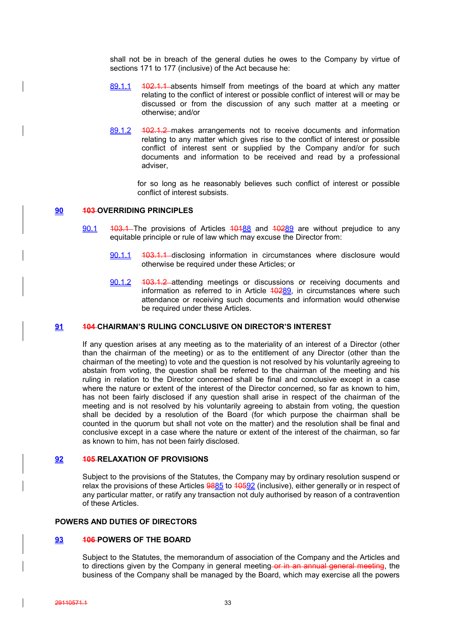shall not be in breach of the general duties he owes to the Company by virtue of sections 171 to 177 (inclusive) of the Act because he:

- 89.1.1 102.1.1 absents himself from meetings of the board at which any matter relating to the conflict of interest or possible conflict of interest will or may be discussed or from the discussion of any such matter at a meeting or otherwise; and/or
- 89.1.2 102.1.2 makes arrangements not to receive documents and information relating to any matter which gives rise to the conflict of interest or possible conflict of interest sent or supplied by the Company and/or for such documents and information to be received and read by a professional adviser,

for so long as he reasonably believes such conflict of interest or possible conflict of interest subsists.

## **90 103 OVERRIDING PRINCIPLES**

- 90.1 403.4 The provisions of Articles 40488 and 40289 are without prejudice to any equitable principle or rule of law which may excuse the Director from:
	- 90.1.1 103.1.1 disclosing information in circumstances where disclosure would otherwise be required under these Articles; or
	- 90.1.2 103.1.2 attending meetings or discussions or receiving documents and information as referred to in Article 40289, in circumstances where such attendance or receiving such documents and information would otherwise be required under these Articles.

## **91 104 CHAIRMAN'S RULING CONCLUSIVE ON DIRECTOR'S INTEREST**

If any question arises at any meeting as to the materiality of an interest of a Director (other than the chairman of the meeting) or as to the entitlement of any Director (other than the chairman of the meeting) to vote and the question is not resolved by his voluntarily agreeing to abstain from voting, the question shall be referred to the chairman of the meeting and his ruling in relation to the Director concerned shall be final and conclusive except in a case where the nature or extent of the interest of the Director concerned, so far as known to him, has not been fairly disclosed if any question shall arise in respect of the chairman of the meeting and is not resolved by his voluntarily agreeing to abstain from voting, the question shall be decided by a resolution of the Board (for which purpose the chairman shall be counted in the quorum but shall not vote on the matter) and the resolution shall be final and conclusive except in a case where the nature or extent of the interest of the chairman, so far as known to him, has not been fairly disclosed.

## **92 105 RELAXATION OF PROVISIONS**

Subject to the provisions of the Statutes, the Company may by ordinary resolution suspend or relax the provisions of these Articles 9885 to 10592 (inclusive), either generally or in respect of any particular matter, or ratify any transaction not duly authorised by reason of a contravention of these Articles.

## **POWERS AND DUTIES OF DIRECTORS**

## **93 106 POWERS OF THE BOARD**

Subject to the Statutes, the memorandum of association of the Company and the Articles and to directions given by the Company in general meeting or in an annual general meeting, the business of the Company shall be managed by the Board, which may exercise all the powers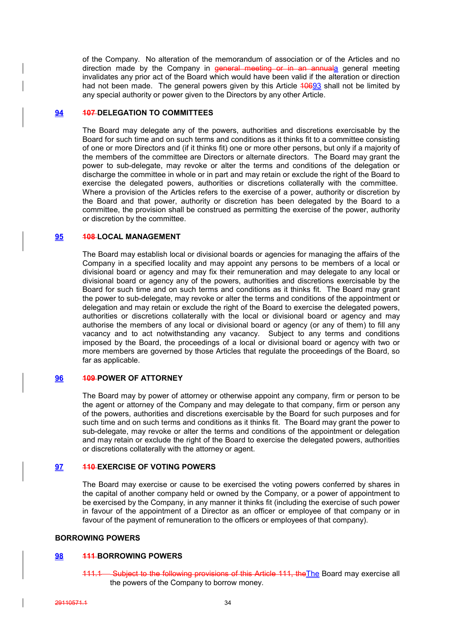of the Company. No alteration of the memorandum of association or of the Articles and no direction made by the Company in general meeting or in an annuala general meeting invalidates any prior act of the Board which would have been valid if the alteration or direction had not been made. The general powers given by this Article 40693 shall not be limited by any special authority or power given to the Directors by any other Article.

## **94 107 DELEGATION TO COMMITTEES**

The Board may delegate any of the powers, authorities and discretions exercisable by the Board for such time and on such terms and conditions as it thinks fit to a committee consisting of one or more Directors and (if it thinks fit) one or more other persons, but only if a majority of the members of the committee are Directors or alternate directors. The Board may grant the power to sub-delegate, may revoke or alter the terms and conditions of the delegation or discharge the committee in whole or in part and may retain or exclude the right of the Board to exercise the delegated powers, authorities or discretions collaterally with the committee. Where a provision of the Articles refers to the exercise of a power, authority or discretion by the Board and that power, authority or discretion has been delegated by the Board to a committee, the provision shall be construed as permitting the exercise of the power, authority or discretion by the committee.

### **95 108 LOCAL MANAGEMENT**

The Board may establish local or divisional boards or agencies for managing the affairs of the Company in a specified locality and may appoint any persons to be members of a local or divisional board or agency and may fix their remuneration and may delegate to any local or divisional board or agency any of the powers, authorities and discretions exercisable by the Board for such time and on such terms and conditions as it thinks fit. The Board may grant the power to sub-delegate, may revoke or alter the terms and conditions of the appointment or delegation and may retain or exclude the right of the Board to exercise the delegated powers, authorities or discretions collaterally with the local or divisional board or agency and may authorise the members of any local or divisional board or agency (or any of them) to fill any vacancy and to act notwithstanding any vacancy. Subject to any terms and conditions imposed by the Board, the proceedings of a local or divisional board or agency with two or more members are governed by those Articles that regulate the proceedings of the Board, so far as applicable.

## **96 109 POWER OF ATTORNEY**

The Board may by power of attorney or otherwise appoint any company, firm or person to be the agent or attorney of the Company and may delegate to that company, firm or person any of the powers, authorities and discretions exercisable by the Board for such purposes and for such time and on such terms and conditions as it thinks fit. The Board may grant the power to sub-delegate, may revoke or alter the terms and conditions of the appointment or delegation and may retain or exclude the right of the Board to exercise the delegated powers, authorities or discretions collaterally with the attorney or agent.

## **97 110 EXERCISE OF VOTING POWERS**

The Board may exercise or cause to be exercised the voting powers conferred by shares in the capital of another company held or owned by the Company, or a power of appointment to be exercised by the Company, in any manner it thinks fit (including the exercise of such power in favour of the appointment of a Director as an officer or employee of that company or in favour of the payment of remuneration to the officers or employees of that company).

## **BORROWING POWERS**

### **98 111 BORROWING POWERS**

111.1 Subject to the following provisions of this Article 111, the The Board may exercise all the powers of the Company to borrow money.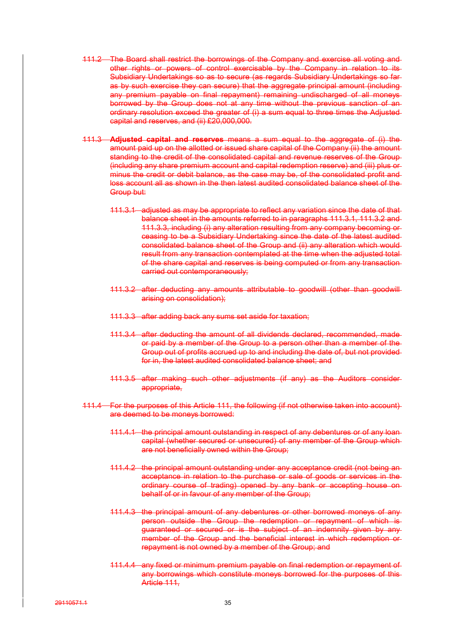- 111.2 The Board shall restrict the borrowings of the Company and exercise all voting and other rights or powers of control exercisable by the Company in relation to its Subsidiary Undertakings so as to secure (as regards Subsidiary Undertakings so far as by such exercise they can secure) that the aggregate principal amount (including any premium payable on final repayment) remaining undischarged of all moneys borrowed by the Group does not at any time without the previous sanction of an ordinary resolution exceed the greater of (i) a sum equal to three times the Adjusted capital and reserves, and (ii) £20,000,000.
- 111.3 **Adjusted capital and reserves** means a sum equal to the aggregate of (i) the amount paid up on the allotted or issued share capital of the Company (ii) the amount standing to the credit of the consolidated capital and revenue reserves of the Group (including any share premium account and capital redemption reserve) and (iii) plus or minus the credit or debit balance, as the case may be, of the consolidated profit and loss account all as shown in the then latest audited consolidated balance sheet of the Group but:
	- 111.3.1 adjusted as may be appropriate to reflect any variation since the date of that balance sheet in the amounts referred to in paragraphs 111.3.1, 111.3.2 and 111.3.3, including (i) any alteration resulting from any company becoming or ceasing to be a Subsidiary Undertaking since the date of the latest audited consolidated balance sheet of the Group and (ii) any alteration which would result from any transaction contemplated at the time when the adjusted total of the share capital and reserves is being computed or from any transaction carried out contemporaneously;
	- 111.3.2 after deducting any amounts attributable to goodwill (other than goodwill arising on consolidation);
	- 111.3.3 after adding back any sums set aside for taxation;
	- 111.3.4 after deducting the amount of all dividends declared, recommended, made or paid by a member of the Group to a person other than a member of the Group out of profits accrued up to and including the date of, but not provided for in, the latest audited consolidated balance sheet; and
	- 111.3.5 after making such other adjustments (if any) as the Auditors consider appropriate,
- 111.4 For the purposes of this Article 111, the following (if not otherwise taken into account) are deemed to be moneys borrowed:
	- 111.4.1 the principal amount outstanding in respect of any debentures or of any loan capital (whether secured or unsecured) of any member of the Group which are not beneficially owned within the Group;
	- 111.4.2 the principal amount outstanding under any acceptance credit (not being an acceptance in relation to the purchase or sale of goods or services in the ordinary course of trading) opened by any bank or accepting house on behalf of or in favour of any member of the Group;
	- 111.4.3 the principal amount of any debentures or other borrowed moneys of any person outside the Group the redemption or repayment of which is guaranteed or secured or is the subject of an indemnity given by any member of the Group and the beneficial interest in which redemption or repayment is not owned by a member of the Group; and
	- 111.4.4 any fixed or minimum premium payable on final redemption or repayment of any borrowings which constitute moneys borrowed for the purposes of this Article 111.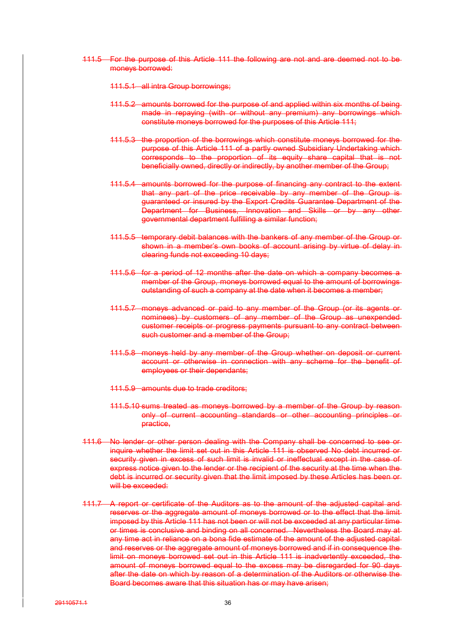- 111.5 For the purpose of this Article 111 the following are not and are deemed not to be moneys borrowed:
	- 111.5.1 all intra Group borrowings;
	- 111.5.2 amounts borrowed for the purpose of and applied within six months of being made in repaying (with or without any premium) any borrowings which constitute moneys borrowed for the purposes of this Article 111;
	- 111.5.3 the proportion of the borrowings which constitute moneys borrowed for the purpose of this Article 111 of a partly owned Subsidiary Undertaking which corresponds to the proportion of its equity share capital that is not beneficially owned, directly or indirectly, by another member of the Group;
	- 111.5.4 amounts borrowed for the purpose of financing any contract to the extent that any part of the price receivable by any member of the Group is guaranteed or insured by the Export Credits Guarantee Department of the Department for Business, Innovation and Skills or by any other governmental department fulfilling a similar function;
	- 111.5.5 temporary debit balances with the bankers of any member of the Group or shown in a member's own books of account arising by virtue of delay inclearing funds not exceeding 10 days;
	- 111.5.6 for a period of 12 months after the date on which a company becomes a member of the Group, moneys borrowed equal to the amount of borrowings outstanding of such a company at the date when it becomes a member;
	- 111.5.7 moneys advanced or paid to any member of the Group (or its agents or nominees) by customers of any member of the Group as unexpended customer receipts or progress payments pursuant to any contract between such customer and a member of the Group;
	- 111.5.8 moneys held by any member of the Group whether on deposit or current account or otherwise in connection with any scheme for the benefit of employees or their dependants;
	- 111.5.9 amounts due to trade creditors;
	- 111.5.10 sums treated as moneys borrowed by a member of the Group by reason only of current accounting standards or other accounting principles or practice,
- 111.6 No lender or other person dealing with the Company shall be concerned to see or inquire whether the limit set out in this Article 111 is observed No debt incurred or security given in excess of such limit is invalid or ineffectual except in the case of express notice given to the lender or the recipient of the security at the time when the debt is incurred or security given that the limit imposed by these Articles has been or will be exceeded:
- 111.7 A report or certificate of the Auditors as to the amount of the adjusted capital and reserves or the aggregate amount of moneys borrowed or to the effect that the limit imposed by this Article 111 has not been or will not be exceeded at any particular time or times is conclusive and binding on all concerned. Nevertheless the Board may at any time act in reliance on a bona fide estimate of the amount of the adjusted capital and reserves or the aggregate amount of moneys borrowed and if in consequence the limit on moneys borrowed set out in this Article 111 is inadvertently exceeded, the amount of moneys borrowed equal to the excess may be disregarded for 90 days after the date on which by reason of a determination of the Auditors or otherwise the Board becomes aware that this situation has or may have arisen;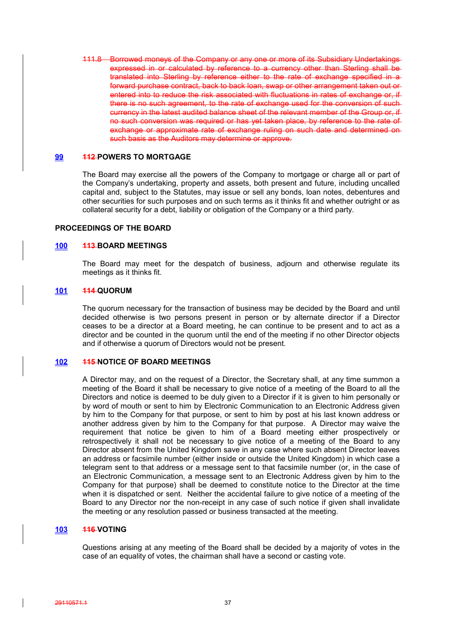111.8 Borrowed moneys of the Company or any one or more of its Subsidiary Undertakings expressed in or calculated by reference to a currency other than Sterling shall be translated into Sterling by reference either to the rate of exchange specified in a forward purchase contract, back to back loan, swap or other arrangement taken out or entered into to reduce the risk associated with fluctuations in rates of exchange or, if there is no such agreement, to the rate of exchange used for the conversion of such currency in the latest audited balance sheet of the relevant member of the Group or, if no such conversion was required or has yet taken place, by reference to the rate of exchange or approximate rate of exchange ruling on such date and determined on such basis as the Auditors may determine or approve.

## **99 112 POWERS TO MORTGAGE**

The Board may exercise all the powers of the Company to mortgage or charge all or part of the Company's undertaking, property and assets, both present and future, including uncalled capital and, subject to the Statutes, may issue or sell any bonds, loan notes, debentures and other securities for such purposes and on such terms as it thinks fit and whether outright or as collateral security for a debt, liability or obligation of the Company or a third party.

#### **PROCEEDINGS OF THE BOARD**

#### **100 113 BOARD MEETINGS**

The Board may meet for the despatch of business, adjourn and otherwise regulate its meetings as it thinks fit.

### **101 114 QUORUM**

The quorum necessary for the transaction of business may be decided by the Board and until decided otherwise is two persons present in person or by alternate director if a Director ceases to be a director at a Board meeting, he can continue to be present and to act as a director and be counted in the quorum until the end of the meeting if no other Director objects and if otherwise a quorum of Directors would not be present.

#### **102 115 NOTICE OF BOARD MEETINGS**

A Director may, and on the request of a Director, the Secretary shall, at any time summon a meeting of the Board it shall be necessary to give notice of a meeting of the Board to all the Directors and notice is deemed to be duly given to a Director if it is given to him personally or by word of mouth or sent to him by Electronic Communication to an Electronic Address given by him to the Company for that purpose, or sent to him by post at his last known address or another address given by him to the Company for that purpose. A Director may waive the requirement that notice be given to him of a Board meeting either prospectively or retrospectively it shall not be necessary to give notice of a meeting of the Board to any Director absent from the United Kingdom save in any case where such absent Director leaves an address or facsimile number (either inside or outside the United Kingdom) in which case a telegram sent to that address or a message sent to that facsimile number (or, in the case of an Electronic Communication, a message sent to an Electronic Address given by him to the Company for that purpose) shall be deemed to constitute notice to the Director at the time when it is dispatched or sent. Neither the accidental failure to give notice of a meeting of the Board to any Director nor the non-receipt in any case of such notice if given shall invalidate the meeting or any resolution passed or business transacted at the meeting.

## **103 116 VOTING**

Questions arising at any meeting of the Board shall be decided by a majority of votes in the case of an equality of votes, the chairman shall have a second or casting vote.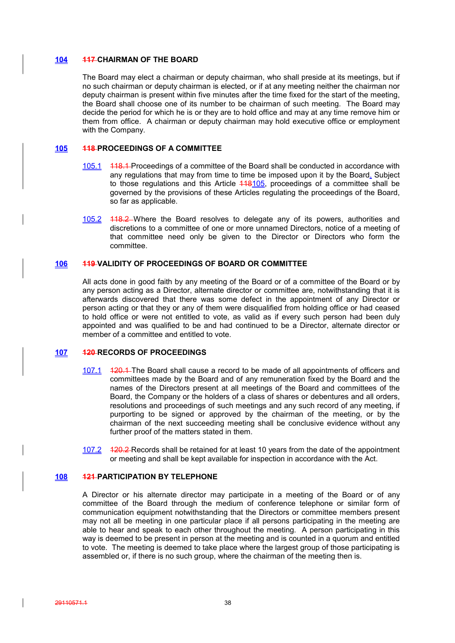#### **104 117 CHAIRMAN OF THE BOARD**

The Board may elect a chairman or deputy chairman, who shall preside at its meetings, but if no such chairman or deputy chairman is elected, or if at any meeting neither the chairman nor deputy chairman is present within five minutes after the time fixed for the start of the meeting, the Board shall choose one of its number to be chairman of such meeting. The Board may decide the period for which he is or they are to hold office and may at any time remove him or them from office. A chairman or deputy chairman may hold executive office or employment with the Company.

## **105 118 PROCEEDINGS OF A COMMITTEE**

- 105.1 118.1 Proceedings of a committee of the Board shall be conducted in accordance with any regulations that may from time to time be imposed upon it by the Board. Subject to those regulations and this Article 448105, proceedings of a committee shall be governed by the provisions of these Articles regulating the proceedings of the Board, so far as applicable.
- 105.2 118.2 Where the Board resolves to delegate any of its powers, authorities and discretions to a committee of one or more unnamed Directors, notice of a meeting of that committee need only be given to the Director or Directors who form the committee.

## **106 119 VALIDITY OF PROCEEDINGS OF BOARD OR COMMITTEE**

All acts done in good faith by any meeting of the Board or of a committee of the Board or by any person acting as a Director, alternate director or committee are, notwithstanding that it is afterwards discovered that there was some defect in the appointment of any Director or person acting or that they or any of them were disqualified from holding office or had ceased to hold office or were not entitled to vote, as valid as if every such person had been duly appointed and was qualified to be and had continued to be a Director, alternate director or member of a committee and entitled to vote.

## **107 120 RECORDS OF PROCEEDINGS**

- 107.1 120.1 The Board shall cause a record to be made of all appointments of officers and committees made by the Board and of any remuneration fixed by the Board and the names of the Directors present at all meetings of the Board and committees of the Board, the Company or the holders of a class of shares or debentures and all orders, resolutions and proceedings of such meetings and any such record of any meeting, if purporting to be signed or approved by the chairman of the meeting, or by the chairman of the next succeeding meeting shall be conclusive evidence without any further proof of the matters stated in them.
- 107.2 120.2 Records shall be retained for at least 10 years from the date of the appointment or meeting and shall be kept available for inspection in accordance with the Act.

## **108 121 PARTICIPATION BY TELEPHONE**

A Director or his alternate director may participate in a meeting of the Board or of any committee of the Board through the medium of conference telephone or similar form of communication equipment notwithstanding that the Directors or committee members present may not all be meeting in one particular place if all persons participating in the meeting are able to hear and speak to each other throughout the meeting. A person participating in this way is deemed to be present in person at the meeting and is counted in a quorum and entitled to vote. The meeting is deemed to take place where the largest group of those participating is assembled or, if there is no such group, where the chairman of the meeting then is.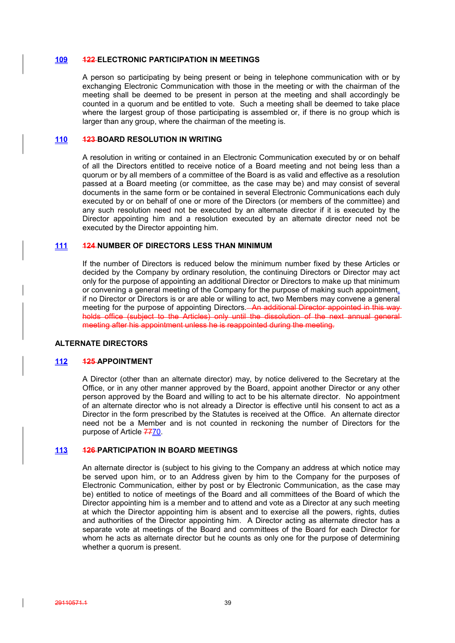#### **109 122 ELECTRONIC PARTICIPATION IN MEETINGS**

A person so participating by being present or being in telephone communication with or by exchanging Electronic Communication with those in the meeting or with the chairman of the meeting shall be deemed to be present in person at the meeting and shall accordingly be counted in a quorum and be entitled to vote. Such a meeting shall be deemed to take place where the largest group of those participating is assembled or, if there is no group which is larger than any group, where the chairman of the meeting is.

## **110 123 BOARD RESOLUTION IN WRITING**

A resolution in writing or contained in an Electronic Communication executed by or on behalf of all the Directors entitled to receive notice of a Board meeting and not being less than a quorum or by all members of a committee of the Board is as valid and effective as a resolution passed at a Board meeting (or committee, as the case may be) and may consist of several documents in the same form or be contained in several Electronic Communications each duly executed by or on behalf of one or more of the Directors (or members of the committee) and any such resolution need not be executed by an alternate director if it is executed by the Director appointing him and a resolution executed by an alternate director need not be executed by the Director appointing him.

## **111 124 NUMBER OF DIRECTORS LESS THAN MINIMUM**

If the number of Directors is reduced below the minimum number fixed by these Articles or decided by the Company by ordinary resolution, the continuing Directors or Director may act only for the purpose of appointing an additional Director or Directors to make up that minimum or convening a general meeting of the Company for the purpose of making such appointment. if no Director or Directors is or are able or willing to act, two Members may convene a general meeting for the purpose of appointing Directors. An additional Director appointed in this way holds office (subject to the Articles) only until the dissolution of the next annual general meeting after his appointment unless he is reappointed during the meeting.

#### **ALTERNATE DIRECTORS**

## **112 125 APPOINTMENT**

A Director (other than an alternate director) may, by notice delivered to the Secretary at the Office, or in any other manner approved by the Board, appoint another Director or any other person approved by the Board and willing to act to be his alternate director. No appointment of an alternate director who is not already a Director is effective until his consent to act as a Director in the form prescribed by the Statutes is received at the Office. An alternate director need not be a Member and is not counted in reckoning the number of Directors for the purpose of Article 7770.

### **113 126 PARTICIPATION IN BOARD MEETINGS**

An alternate director is (subject to his giving to the Company an address at which notice may be served upon him, or to an Address given by him to the Company for the purposes of Electronic Communication, either by post or by Electronic Communication, as the case may be) entitled to notice of meetings of the Board and all committees of the Board of which the Director appointing him is a member and to attend and vote as a Director at any such meeting at which the Director appointing him is absent and to exercise all the powers, rights, duties and authorities of the Director appointing him. A Director acting as alternate director has a separate vote at meetings of the Board and committees of the Board for each Director for whom he acts as alternate director but he counts as only one for the purpose of determining whether a quorum is present.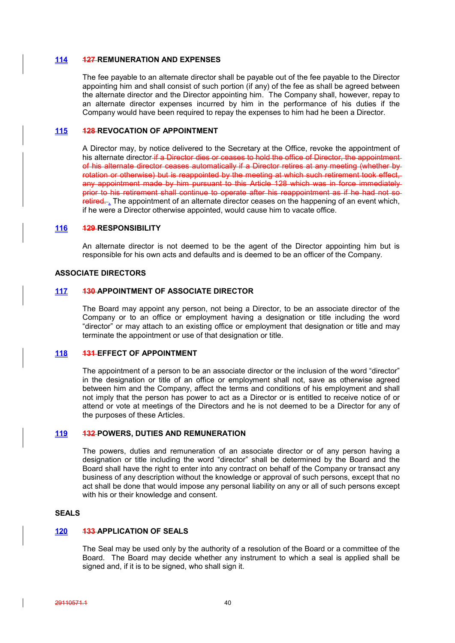#### **114 127 REMUNERATION AND EXPENSES**

The fee payable to an alternate director shall be payable out of the fee payable to the Director appointing him and shall consist of such portion (if any) of the fee as shall be agreed between the alternate director and the Director appointing him. The Company shall, however, repay to an alternate director expenses incurred by him in the performance of his duties if the Company would have been required to repay the expenses to him had he been a Director.

## **115 128 REVOCATION OF APPOINTMENT**

A Director may, by notice delivered to the Secretary at the Office, revoke the appointment of his alternate director if a Director dies or ceases to hold the office of Director, the appointment of his alternate director ceases automatically if a Director retires at any meeting (whether by rotation or otherwise) but is reappointed by the meeting at which such retirement took effect, any appointment made by him pursuant to this Article 128 which was in force immediately prior to his retirement shall continue to operate after his reappointment as if he had not so retired... The appointment of an alternate director ceases on the happening of an event which, if he were a Director otherwise appointed, would cause him to vacate office.

#### **116 129 RESPONSIBILITY**

An alternate director is not deemed to be the agent of the Director appointing him but is responsible for his own acts and defaults and is deemed to be an officer of the Company.

### **ASSOCIATE DIRECTORS**

## **117 130 APPOINTMENT OF ASSOCIATE DIRECTOR**

The Board may appoint any person, not being a Director, to be an associate director of the Company or to an office or employment having a designation or title including the word "director" or may attach to an existing office or employment that designation or title and may terminate the appointment or use of that designation or title.

#### **118 131 EFFECT OF APPOINTMENT**

The appointment of a person to be an associate director or the inclusion of the word "director" in the designation or title of an office or employment shall not, save as otherwise agreed between him and the Company, affect the terms and conditions of his employment and shall not imply that the person has power to act as a Director or is entitled to receive notice of or attend or vote at meetings of the Directors and he is not deemed to be a Director for any of the purposes of these Articles.

#### **119 132 POWERS, DUTIES AND REMUNERATION**

The powers, duties and remuneration of an associate director or of any person having a designation or title including the word "director" shall be determined by the Board and the Board shall have the right to enter into any contract on behalf of the Company or transact any business of any description without the knowledge or approval of such persons, except that no act shall be done that would impose any personal liability on any or all of such persons except with his or their knowledge and consent.

## **SEALS**

### **120 133 APPLICATION OF SEALS**

The Seal may be used only by the authority of a resolution of the Board or a committee of the Board. The Board may decide whether any instrument to which a seal is applied shall be signed and, if it is to be signed, who shall sign it.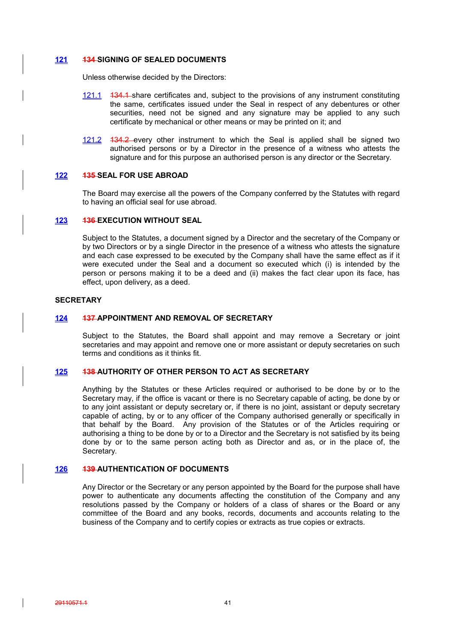## **121 134 SIGNING OF SEALED DOCUMENTS**

Unless otherwise decided by the Directors:

- 121.1 434.1 share certificates and, subject to the provisions of any instrument constituting the same, certificates issued under the Seal in respect of any debentures or other securities, need not be signed and any signature may be applied to any such certificate by mechanical or other means or may be printed on it; and
- 121.2 134.2 every other instrument to which the Seal is applied shall be signed two authorised persons or by a Director in the presence of a witness who attests the signature and for this purpose an authorised person is any director or the Secretary.

## **122 135 SEAL FOR USE ABROAD**

The Board may exercise all the powers of the Company conferred by the Statutes with regard to having an official seal for use abroad.

## **123 136 EXECUTION WITHOUT SEAL**

Subject to the Statutes, a document signed by a Director and the secretary of the Company or by two Directors or by a single Director in the presence of a witness who attests the signature and each case expressed to be executed by the Company shall have the same effect as if it were executed under the Seal and a document so executed which (i) is intended by the person or persons making it to be a deed and (ii) makes the fact clear upon its face, has effect, upon delivery, as a deed.

## **SECRETARY**

## **124 137 APPOINTMENT AND REMOVAL OF SECRETARY**

Subject to the Statutes, the Board shall appoint and may remove a Secretary or joint secretaries and may appoint and remove one or more assistant or deputy secretaries on such terms and conditions as it thinks fit.

## **125 138 AUTHORITY OF OTHER PERSON TO ACT AS SECRETARY**

Anything by the Statutes or these Articles required or authorised to be done by or to the Secretary may, if the office is vacant or there is no Secretary capable of acting, be done by or to any joint assistant or deputy secretary or, if there is no joint, assistant or deputy secretary capable of acting, by or to any officer of the Company authorised generally or specifically in that behalf by the Board. Any provision of the Statutes or of the Articles requiring or authorising a thing to be done by or to a Director and the Secretary is not satisfied by its being done by or to the same person acting both as Director and as, or in the place of, the Secretary.

## **126 139 AUTHENTICATION OF DOCUMENTS**

Any Director or the Secretary or any person appointed by the Board for the purpose shall have power to authenticate any documents affecting the constitution of the Company and any resolutions passed by the Company or holders of a class of shares or the Board or any committee of the Board and any books, records, documents and accounts relating to the business of the Company and to certify copies or extracts as true copies or extracts.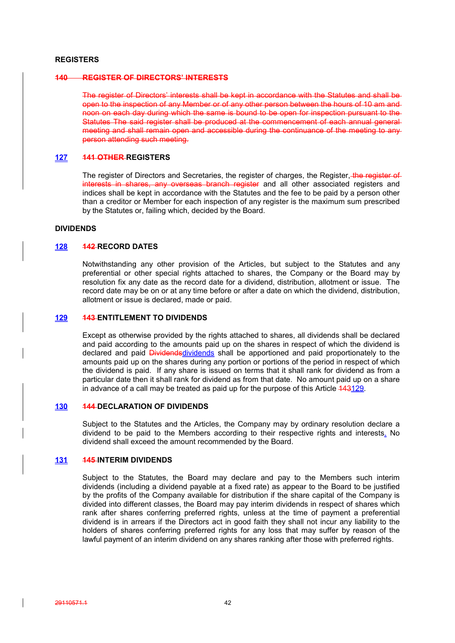#### **REGISTERS**

#### **140 REGISTER OF DIRECTORS' INTERESTS**

The register of Directors' interests shall be kept in accordance with the Statutes and shall be open to the inspection of any Member or of any other person between the hours of 10 am and noon on each day during which the same is bound to be open for inspection pursuant to the Statutes The said register shall be produced at the commencement of each annual general meeting and shall remain open and accessible during the continuance of the meeting to any person attending such meeting.

### **127 141 OTHER REGISTERS**

The register of Directors and Secretaries, the register of charges, the Register, the register of interests in shares, any overseas branch register and all other associated registers and indices shall be kept in accordance with the Statutes and the fee to be paid by a person other than a creditor or Member for each inspection of any register is the maximum sum prescribed by the Statutes or, failing which, decided by the Board.

## **DIVIDENDS**

### **128 142 RECORD DATES**

Notwithstanding any other provision of the Articles, but subject to the Statutes and any preferential or other special rights attached to shares, the Company or the Board may by resolution fix any date as the record date for a dividend, distribution, allotment or issue. The record date may be on or at any time before or after a date on which the dividend, distribution, allotment or issue is declared, made or paid.

## **129 143 ENTITLEMENT TO DIVIDENDS**

Except as otherwise provided by the rights attached to shares, all dividends shall be declared and paid according to the amounts paid up on the shares in respect of which the dividend is declared and paid Dividends dividends shall be apportioned and paid proportionately to the amounts paid up on the shares during any portion or portions of the period in respect of which the dividend is paid. If any share is issued on terms that it shall rank for dividend as from a particular date then it shall rank for dividend as from that date. No amount paid up on a share in advance of a call may be treated as paid up for the purpose of this Article 443129.

## **130 144 DECLARATION OF DIVIDENDS**

Subject to the Statutes and the Articles, the Company may by ordinary resolution declare a dividend to be paid to the Members according to their respective rights and interests. No dividend shall exceed the amount recommended by the Board.

## **131 145 INTERIM DIVIDENDS**

Subject to the Statutes, the Board may declare and pay to the Members such interim dividends (including a dividend payable at a fixed rate) as appear to the Board to be justified by the profits of the Company available for distribution if the share capital of the Company is divided into different classes, the Board may pay interim dividends in respect of shares which rank after shares conferring preferred rights, unless at the time of payment a preferential dividend is in arrears if the Directors act in good faith they shall not incur any liability to the holders of shares conferring preferred rights for any loss that may suffer by reason of the lawful payment of an interim dividend on any shares ranking after those with preferred rights.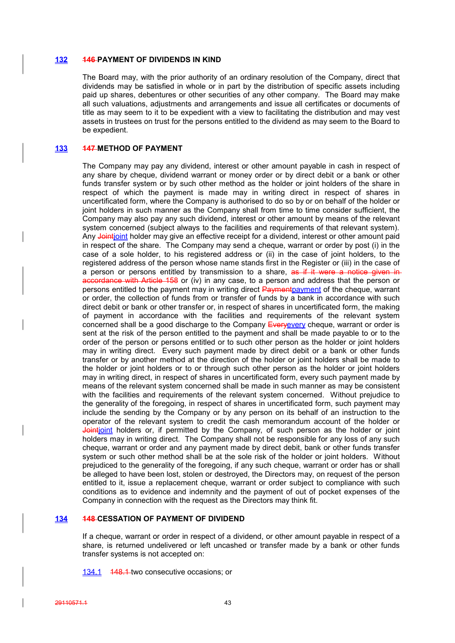### **132 146 PAYMENT OF DIVIDENDS IN KIND**

The Board may, with the prior authority of an ordinary resolution of the Company, direct that dividends may be satisfied in whole or in part by the distribution of specific assets including paid up shares, debentures or other securities of any other company. The Board may make all such valuations, adjustments and arrangements and issue all certificates or documents of title as may seem to it to be expedient with a view to facilitating the distribution and may vest assets in trustees on trust for the persons entitled to the dividend as may seem to the Board to be expedient.

## **133 147 METHOD OF PAYMENT**

The Company may pay any dividend, interest or other amount payable in cash in respect of any share by cheque, dividend warrant or money order or by direct debit or a bank or other funds transfer system or by such other method as the holder or joint holders of the share in respect of which the payment is made may in writing direct in respect of shares in uncertificated form, where the Company is authorised to do so by or on behalf of the holder or joint holders in such manner as the Company shall from time to time consider sufficient, the Company may also pay any such dividend, interest or other amount by means of the relevant system concerned (subject always to the facilities and requirements of that relevant system). Any Jointjoint holder may give an effective receipt for a dividend, interest or other amount paid in respect of the share. The Company may send a cheque, warrant or order by post (i) in the case of a sole holder, to his registered address or (ii) in the case of joint holders, to the registered address of the person whose name stands first in the Register or (iii) in the case of a person or persons entitled by transmission to a share, as if it were a notice given in accordance with Article 158 or (iv) in any case, to a person and address that the person or persons entitled to the payment may in writing direct Paymentpayment of the cheque, warrant or order, the collection of funds from or transfer of funds by a bank in accordance with such direct debit or bank or other transfer or, in respect of shares in uncertificated form, the making of payment in accordance with the facilities and requirements of the relevant system concerned shall be a good discharge to the Company Everyevery cheque, warrant or order is sent at the risk of the person entitled to the payment and shall be made payable to or to the order of the person or persons entitled or to such other person as the holder or joint holders may in writing direct. Every such payment made by direct debit or a bank or other funds transfer or by another method at the direction of the holder or joint holders shall be made to the holder or joint holders or to or through such other person as the holder or joint holders may in writing direct, in respect of shares in uncertificated form, every such payment made by means of the relevant system concerned shall be made in such manner as may be consistent with the facilities and requirements of the relevant system concerned. Without prejudice to the generality of the foregoing, in respect of shares in uncertificated form, such payment may include the sending by the Company or by any person on its behalf of an instruction to the operator of the relevant system to credit the cash memorandum account of the holder or Jointioint holders or, if permitted by the Company, of such person as the holder or joint holders may in writing direct. The Company shall not be responsible for any loss of any such cheque, warrant or order and any payment made by direct debit, bank or other funds transfer system or such other method shall be at the sole risk of the holder or joint holders. Without prejudiced to the generality of the foregoing, if any such cheque, warrant or order has or shall be alleged to have been lost, stolen or destroyed, the Directors may, on request of the person entitled to it, issue a replacement cheque, warrant or order subject to compliance with such conditions as to evidence and indemnity and the payment of out of pocket expenses of the Company in connection with the request as the Directors may think fit.

#### **134 148 CESSATION OF PAYMENT OF DIVIDEND**

If a cheque, warrant or order in respect of a dividend, or other amount payable in respect of a share, is returned undelivered or left uncashed or transfer made by a bank or other funds transfer systems is not accepted on:

134.1 148.1 two consecutive occasions; or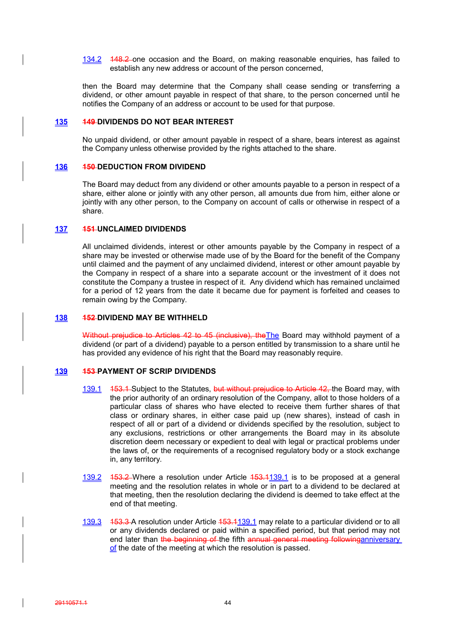134.2 148.2 one occasion and the Board, on making reasonable enquiries, has failed to establish any new address or account of the person concerned,

then the Board may determine that the Company shall cease sending or transferring a dividend, or other amount payable in respect of that share, to the person concerned until he notifies the Company of an address or account to be used for that purpose.

## **135 149 DIVIDENDS DO NOT BEAR INTEREST**

No unpaid dividend, or other amount payable in respect of a share, bears interest as against the Company unless otherwise provided by the rights attached to the share.

### **136 150 DEDUCTION FROM DIVIDEND**

The Board may deduct from any dividend or other amounts payable to a person in respect of a share, either alone or jointly with any other person, all amounts due from him, either alone or jointly with any other person, to the Company on account of calls or otherwise in respect of a share.

## **137 151 UNCLAIMED DIVIDENDS**

All unclaimed dividends, interest or other amounts payable by the Company in respect of a share may be invested or otherwise made use of by the Board for the benefit of the Company until claimed and the payment of any unclaimed dividend, interest or other amount payable by the Company in respect of a share into a separate account or the investment of it does not constitute the Company a trustee in respect of it. Any dividend which has remained unclaimed for a period of 12 years from the date it became due for payment is forfeited and ceases to remain owing by the Company.

## **138 152 DIVIDEND MAY BE WITHHELD**

Without prejudice to Articles 42 to 45 (inclusive), the The Board may withhold payment of a dividend (or part of a dividend) payable to a person entitled by transmission to a share until he has provided any evidence of his right that the Board may reasonably require.

## **139 153 PAYMENT OF SCRIP DIVIDENDS**

- 139.1 453.4 Subject to the Statutes, but without prejudice to Article 42, the Board may, with the prior authority of an ordinary resolution of the Company, allot to those holders of a particular class of shares who have elected to receive them further shares of that class or ordinary shares, in either case paid up (new shares), instead of cash in respect of all or part of a dividend or dividends specified by the resolution, subject to any exclusions, restrictions or other arrangements the Board may in its absolute discretion deem necessary or expedient to deal with legal or practical problems under the laws of, or the requirements of a recognised regulatory body or a stock exchange in, any territory.
- 139.2 153.2 Where a resolution under Article 153.1139.1 is to be proposed at a general meeting and the resolution relates in whole or in part to a dividend to be declared at that meeting, then the resolution declaring the dividend is deemed to take effect at the end of that meeting.
- 139.3 153.3 A resolution under Article 153.1139.1 may relate to a particular dividend or to all or any dividends declared or paid within a specified period, but that period may not end later than the beginning of the fifth annual general meeting followinganniversary of the date of the meeting at which the resolution is passed.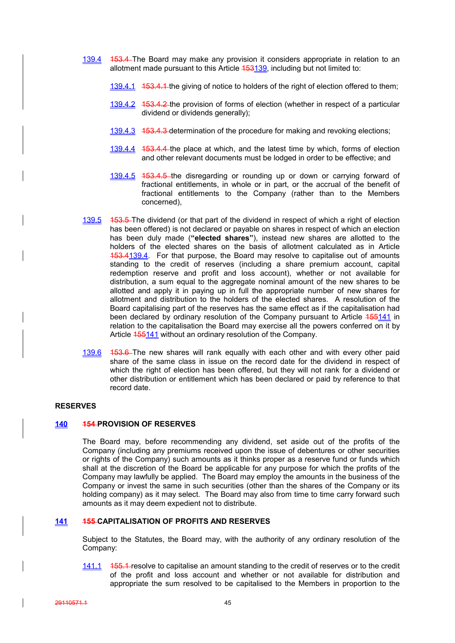- 139.4 153.4 The Board may make any provision it considers appropriate in relation to an allotment made pursuant to this Article 453139, including but not limited to:
	- 139.4.1 153.4.1 the giving of notice to holders of the right of election offered to them;
	- 139.4.2 153.4.2 the provision of forms of election (whether in respect of a particular dividend or dividends generally);
	- 139.4.3 153.4.3 determination of the procedure for making and revoking elections;
	- 139.4.4 153.4.4 the place at which, and the latest time by which, forms of election and other relevant documents must be lodged in order to be effective; and
	- 139.4.5 153.4.5 the disregarding or rounding up or down or carrying forward of fractional entitlements, in whole or in part, or the accrual of the benefit of fractional entitlements to the Company (rather than to the Members concerned),
- 139.5 453.5 The dividend (or that part of the dividend in respect of which a right of election has been offered) is not declared or payable on shares in respect of which an election has been duly made (**"elected shares"**), instead new shares are allotted to the holders of the elected shares on the basis of allotment calculated as in Article 153.4139.4. For that purpose, the Board may resolve to capitalise out of amounts standing to the credit of reserves (including a share premium account, capital redemption reserve and profit and loss account), whether or not available for distribution, a sum equal to the aggregate nominal amount of the new shares to be allotted and apply it in paying up in full the appropriate number of new shares for allotment and distribution to the holders of the elected shares. A resolution of the Board capitalising part of the reserves has the same effect as if the capitalisation had been declared by ordinary resolution of the Company pursuant to Article 455141 in relation to the capitalisation the Board may exercise all the powers conferred on it by Article 155141 without an ordinary resolution of the Company.
- 139.6 453.6 The new shares will rank equally with each other and with every other paid share of the same class in issue on the record date for the dividend in respect of which the right of election has been offered, but they will not rank for a dividend or other distribution or entitlement which has been declared or paid by reference to that record date.

## **RESERVES**

#### **140 154 PROVISION OF RESERVES**

The Board may, before recommending any dividend, set aside out of the profits of the Company (including any premiums received upon the issue of debentures or other securities or rights of the Company) such amounts as it thinks proper as a reserve fund or funds which shall at the discretion of the Board be applicable for any purpose for which the profits of the Company may lawfully be applied. The Board may employ the amounts in the business of the Company or invest the same in such securities (other than the shares of the Company or its holding company) as it may select. The Board may also from time to time carry forward such amounts as it may deem expedient not to distribute.

## **141 155 CAPITALISATION OF PROFITS AND RESERVES**

Subject to the Statutes, the Board may, with the authority of any ordinary resolution of the Company:

141.1 455.4 resolve to capitalise an amount standing to the credit of reserves or to the credit of the profit and loss account and whether or not available for distribution and appropriate the sum resolved to be capitalised to the Members in proportion to the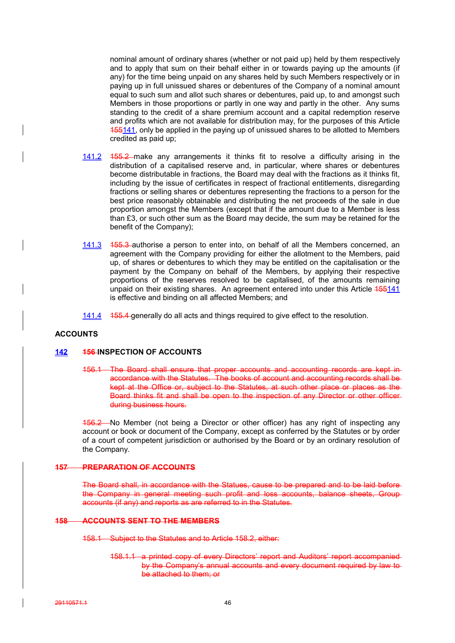nominal amount of ordinary shares (whether or not paid up) held by them respectively and to apply that sum on their behalf either in or towards paying up the amounts (if any) for the time being unpaid on any shares held by such Members respectively or in paying up in full unissued shares or debentures of the Company of a nominal amount equal to such sum and allot such shares or debentures, paid up, to and amongst such Members in those proportions or partly in one way and partly in the other. Any sums standing to the credit of a share premium account and a capital redemption reserve and profits which are not available for distribution may, for the purposes of this Article 155141, only be applied in the paying up of unissued shares to be allotted to Members credited as paid up;

- 141.2 155.2 make any arrangements it thinks fit to resolve a difficulty arising in the distribution of a capitalised reserve and, in particular, where shares or debentures become distributable in fractions, the Board may deal with the fractions as it thinks fit, including by the issue of certificates in respect of fractional entitlements, disregarding fractions or selling shares or debentures representing the fractions to a person for the best price reasonably obtainable and distributing the net proceeds of the sale in due proportion amongst the Members (except that if the amount due to a Member is less than £3, or such other sum as the Board may decide, the sum may be retained for the benefit of the Company);
- 141.3 155.3 authorise a person to enter into, on behalf of all the Members concerned, an agreement with the Company providing for either the allotment to the Members, paid up, of shares or debentures to which they may be entitled on the capitalisation or the payment by the Company on behalf of the Members, by applying their respective proportions of the reserves resolved to be capitalised, of the amounts remaining unpaid on their existing shares. An agreement entered into under this Article 155141 is effective and binding on all affected Members; and
- 141.4 155.4 generally do all acts and things required to give effect to the resolution.

## **ACCOUNTS**

#### **142 156 INSPECTION OF ACCOUNTS**

156.1 The Board shall ensure that proper accounts and accounting records are kept in accordance with the Statutes. The books of account and accounting records shall be kept at the Office or, subject to the Statutes, at such other place or places as the Board thinks fit and shall be open to the inspection of any Director or other officerduring business hours.

156.2 No Member (not being a Director or other officer) has any right of inspecting any account or book or document of the Company, except as conferred by the Statutes or by order of a court of competent jurisdiction or authorised by the Board or by an ordinary resolution of the Company.

## **157 PREPARATION OF ACCOUNTS**

The Board shall, in accordance with the Statues, cause to be prepared and to be laid before the Company in general meeting such profit and loss accounts, balance sheets, Group accounts (if any) and reports as are referred to in the Statutes.

#### **158 ACCOUNTS SENT TO THE MEMBERS**

158.1 Subject to the Statutes and to Article 158.2, either:

158.1.1 a printed copy of every Directors' report and Auditors' report accompanied by the Company's annual accounts and every document required by law to be attached to them; or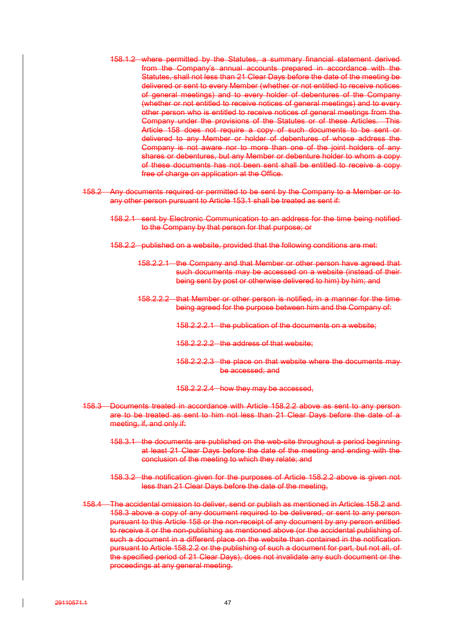- 158.1.2 where permitted by the Statutes, a summary financial statement derived from the Company's annual accounts prepared in accordance with the Statutes, shall not less than 21 Clear Days before the date of the meeting be delivered or sent to every Member (whether or not entitled to receive notices of general meetings) and to every holder of debentures of the Company (whether or not entitled to receive notices of general meetings) and to every other person who is entitled to receive notices of general meetings from the Company under the provisions of the Statutes or of these Articles. This Article 158 does not require a copy of such documents to be sent or delivered to any Member or holder of debentures of whose address the Company is not aware nor to more than one of the joint holders of any shares or debentures, but any Member or debenture holder to whom a copy of these documents has not been sent shall be entitled to receive a copy free of charge on application at the Office.
- 158.2 Any documents required or permitted to be sent by the Company to a Member or to any other person pursuant to Article 153.1 shall be treated as sent if:
	- 158.2.1 sent by Electronic Communication to an address for the time being notified to the Company by that person for that purpose; or
	- 158.2.2 published on a website, provided that the following conditions are met:
		- 158.2.2.1 the Company and that Member or other person have agreed that such documents may be accessed on a website (instead of theirbeing sent by post or otherwise delivered to him) by him; and
		- 158.2.2.2 that Member or other person is notified, in a manner for the time being agreed for the purpose between him and the Company of:
			- 158.2.2.2.1 the publication of the documents on a website;
			- 158.2.2.2.2 the address of that website;
			- 158.2.2.2.3 the place on that website where the documents may be accessed; and
			- 158.2.2.2.4 how they may be accessed,
- 158.3 Documents treated in accordance with Article 158.2.2 above as sent to any person are to be treated as sent to him not less than 21 Clear Days before the date of a meeting, if, and only if:
	- 158.3.1 the documents are published on the web-site throughout a period beginning at least 21 Clear Days before the date of the meeting and ending with the conclusion of the meeting to which they relate; and
	- 158.3.2 the notification given for the purposes of Article 158.2.2 above is given not less than 21 Clear Days before the date of the meeting,
- 158.4 The accidental omission to deliver, send or publish as mentioned in Articles 158.2 and 158.3 above a copy of any document required to be delivered, or sent to any person pursuant to this Article 158 or the non-receipt of any document by any person entitled to receive it or the non-publishing as mentioned above (or the accidental publishing of such a document in a different place on the website than contained in the notification pursuant to Article 158.2.2 or the publishing of such a document for part, but not all, of the specified period of 21 Clear Days), does not invalidate any such document or the proceedings at any general meeting.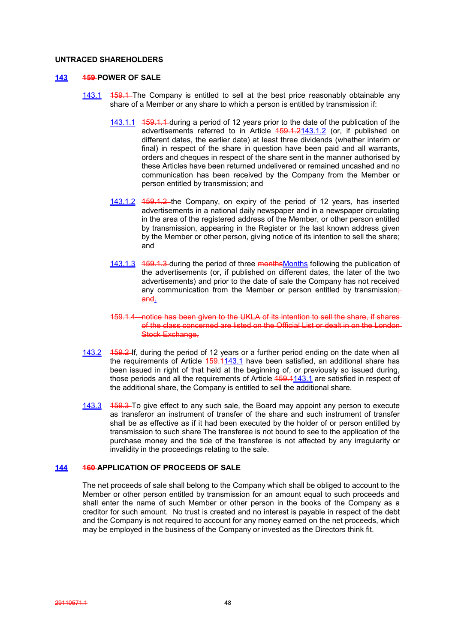## **UNTRACED SHAREHOLDERS**

### **143 159 POWER OF SALE**

- 143.1 159.1 The Company is entitled to sell at the best price reasonably obtainable any share of a Member or any share to which a person is entitled by transmission if:
	- 143.1.1 159.1.1 during a period of 12 years prior to the date of the publication of the advertisements referred to in Article 459.1.2143.1.2 (or, if published on different dates, the earlier date) at least three dividends (whether interim or final) in respect of the share in question have been paid and all warrants, orders and cheques in respect of the share sent in the manner authorised by these Articles have been returned undelivered or remained uncashed and no communication has been received by the Company from the Member or person entitled by transmission; and
	- 143.1.2 159.1.2 the Company, on expiry of the period of 12 years, has inserted advertisements in a national daily newspaper and in a newspaper circulating in the area of the registered address of the Member, or other person entitled by transmission, appearing in the Register or the last known address given by the Member or other person, giving notice of its intention to sell the share; and
	- 143.1.3 159.1.3 during the period of three monthsMonths following the publication of the advertisements (or, if published on different dates, the later of the two advertisements) and prior to the date of sale the Company has not received any communication from the Member or person entitled by transmission $\div$ and.
	- 159.1.4 notice has been given to the UKLA of its intention to sell the share, if shares of the class concerned are listed on the Official List or dealt in on the London Stock Exchange.
- 143.2 159.2 If, during the period of 12 years or a further period ending on the date when all the requirements of Article 159.1143.1 have been satisfied, an additional share has been issued in right of that held at the beginning of, or previously so issued during, those periods and all the requirements of Article  $159.1143.1$  are satisfied in respect of the additional share, the Company is entitled to sell the additional share.
- 143.3 159.3 To give effect to any such sale, the Board may appoint any person to execute as transferor an instrument of transfer of the share and such instrument of transfer shall be as effective as if it had been executed by the holder of or person entitled by transmission to such share The transferee is not bound to see to the application of the purchase money and the tide of the transferee is not affected by any irregularity or invalidity in the proceedings relating to the sale.

## **144 160 APPLICATION OF PROCEEDS OF SALE**

The net proceeds of sale shall belong to the Company which shall be obliged to account to the Member or other person entitled by transmission for an amount equal to such proceeds and shall enter the name of such Member or other person in the books of the Company as a creditor for such amount. No trust is created and no interest is payable in respect of the debt and the Company is not required to account for any money earned on the net proceeds, which may be employed in the business of the Company or invested as the Directors think fit.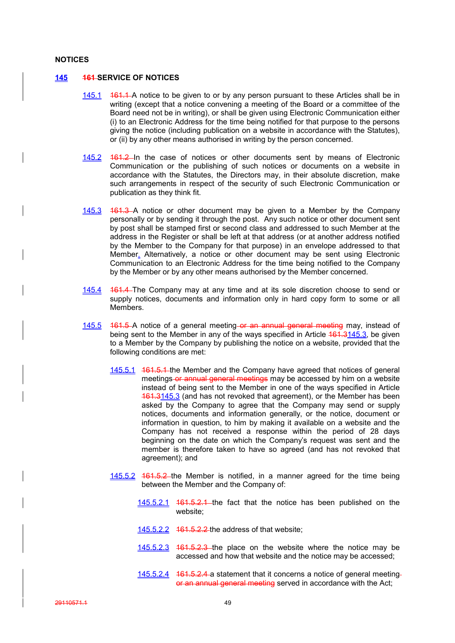#### **NOTICES**

#### **145 161 SERVICE OF NOTICES**

- 145.1 161.1 A notice to be given to or by any person pursuant to these Articles shall be in writing (except that a notice convening a meeting of the Board or a committee of the Board need not be in writing), or shall be given using Electronic Communication either (i) to an Electronic Address for the time being notified for that purpose to the persons giving the notice (including publication on a website in accordance with the Statutes), or (ii) by any other means authorised in writing by the person concerned.
- 145.2 161.2 In the case of notices or other documents sent by means of Electronic Communication or the publishing of such notices or documents on a website in accordance with the Statutes, the Directors may, in their absolute discretion, make such arrangements in respect of the security of such Electronic Communication or publication as they think fit.
- 145.3 161.3 A notice or other document may be given to a Member by the Company personally or by sending it through the post. Any such notice or other document sent by post shall be stamped first or second class and addressed to such Member at the address in the Register or shall be left at that address (or at another address notified by the Member to the Company for that purpose) in an envelope addressed to that Member. Alternatively, a notice or other document may be sent using Electronic Communication to an Electronic Address for the time being notified to the Company by the Member or by any other means authorised by the Member concerned.
- 145.4 161.4 The Company may at any time and at its sole discretion choose to send or supply notices, documents and information only in hard copy form to some or all Members.
- 145.5 161.5 A notice of a general meeting or an annual general meeting may, instead of being sent to the Member in any of the ways specified in Article 464.3145.3, be given to a Member by the Company by publishing the notice on a website, provided that the following conditions are met:
	- 145.5.1 161.5.1 the Member and the Company have agreed that notices of general meetings or annual general meetings may be accessed by him on a website instead of being sent to the Member in one of the ways specified in Article 161.3145.3 (and has not revoked that agreement), or the Member has been asked by the Company to agree that the Company may send or supply notices, documents and information generally, or the notice, document or information in question, to him by making it available on a website and the Company has not received a response within the period of 28 days beginning on the date on which the Company's request was sent and the member is therefore taken to have so agreed (and has not revoked that agreement); and
	- 145.5.2 161.5.2 the Member is notified, in a manner agreed for the time being between the Member and the Company of:
		- 145.5.2.1 161.5.2.1 the fact that the notice has been published on the website;
		- 145.5.2.2 161.5.2.2 the address of that website;
		- 145.5.2.3 161.5.2.3 the place on the website where the notice may be accessed and how that website and the notice may be accessed;
		- 145.5.2.4 161.5.2.4 a statement that it concerns a notice of general meeting or an annual general meeting served in accordance with the Act;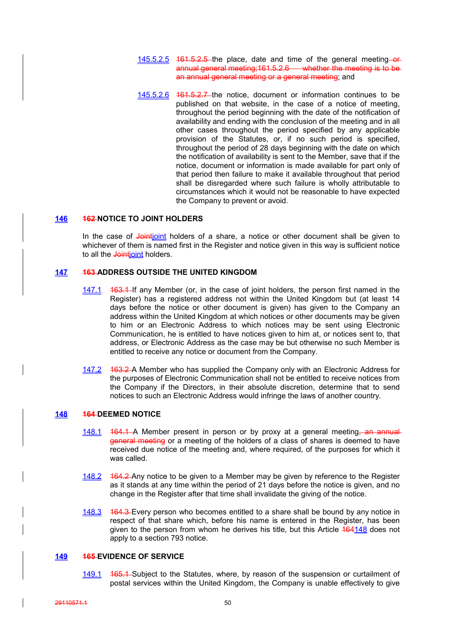- 145.5.2.5 161.5.2.5 the place, date and time of the general meeting-orannual general meeting;161.5.2.6 whether the meeting is to be an annual general meeting or a general meeting; and
- 145.5.2.6 461.5.2.7 the notice, document or information continues to be published on that website, in the case of a notice of meeting, throughout the period beginning with the date of the notification of availability and ending with the conclusion of the meeting and in all other cases throughout the period specified by any applicable provision of the Statutes, or, if no such period is specified, throughout the period of 28 days beginning with the date on which the notification of availability is sent to the Member, save that if the notice, document or information is made available for part only of that period then failure to make it available throughout that period shall be disregarded where such failure is wholly attributable to circumstances which it would not be reasonable to have expected the Company to prevent or avoid.

#### **146 162 NOTICE TO JOINT HOLDERS**

In the case of Jointjoint holders of a share, a notice or other document shall be given to whichever of them is named first in the Register and notice given in this way is sufficient notice to all the **Jointjoint** holders.

## **147 163 ADDRESS OUTSIDE THE UNITED KINGDOM**

- 147.1 463.1 If any Member (or, in the case of joint holders, the person first named in the Register) has a registered address not within the United Kingdom but (at least 14 days before the notice or other document is given) has given to the Company an address within the United Kingdom at which notices or other documents may be given to him or an Electronic Address to which notices may be sent using Electronic Communication, he is entitled to have notices given to him at, or notices sent to, that address, or Electronic Address as the case may be but otherwise no such Member is entitled to receive any notice or document from the Company.
- 147.2 463.2 A Member who has supplied the Company only with an Electronic Address for the purposes of Electronic Communication shall not be entitled to receive notices from the Company if the Directors, in their absolute discretion, determine that to send notices to such an Electronic Address would infringe the laws of another country.

## **148 164 DEEMED NOTICE**

- 148.1 164.1 A Member present in person or by proxy at a general meeting—an annual general meeting or a meeting of the holders of a class of shares is deemed to have received due notice of the meeting and, where required, of the purposes for which it was called.
- 148.2 164.2 Any notice to be given to a Member may be given by reference to the Register as it stands at any time within the period of 21 days before the notice is given, and no change in the Register after that time shall invalidate the giving of the notice.
- 148.3 164.3 Every person who becomes entitled to a share shall be bound by any notice in respect of that share which, before his name is entered in the Register, has been given to the person from whom he derives his title, but this Article  $\frac{464148}{1641}$  does not apply to a section 793 notice.

## **149 165 EVIDENCE OF SERVICE**

149.1 165.1 Subject to the Statutes, where, by reason of the suspension or curtailment of postal services within the United Kingdom, the Company is unable effectively to give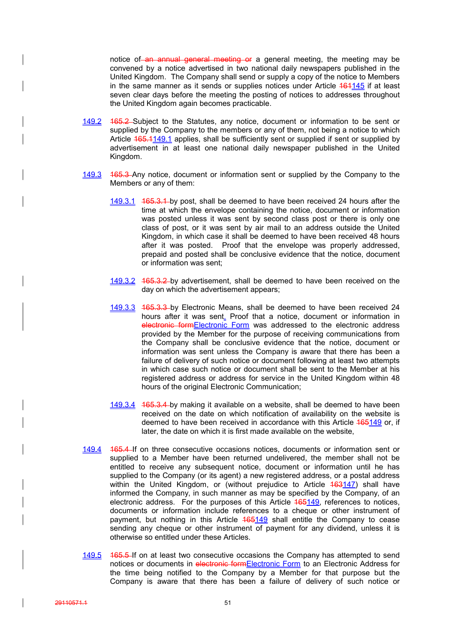notice of an annual general meeting or a general meeting, the meeting may be convened by a notice advertised in two national daily newspapers published in the United Kingdom. The Company shall send or supply a copy of the notice to Members in the same manner as it sends or supplies notices under Article  $161145$  if at least seven clear days before the meeting the posting of notices to addresses throughout the United Kingdom again becomes practicable.

- 149.2 165.2 Subject to the Statutes, any notice, document or information to be sent or supplied by the Company to the members or any of them, not being a notice to which Article 165.1149.1 applies, shall be sufficiently sent or supplied if sent or supplied by advertisement in at least one national daily newspaper published in the United Kingdom.
- 149.3 165.3 Any notice, document or information sent or supplied by the Company to the Members or any of them:
	- 149.3.1 165.3.1 by post, shall be deemed to have been received 24 hours after the time at which the envelope containing the notice, document or information was posted unless it was sent by second class post or there is only one class of post, or it was sent by air mail to an address outside the United Kingdom, in which case it shall be deemed to have been received 48 hours after it was posted. Proof that the envelope was properly addressed, prepaid and posted shall be conclusive evidence that the notice, document or information was sent;
	- 149.3.2 165.3.2 by advertisement, shall be deemed to have been received on the day on which the advertisement appears;
	- 149.3.3 165.3.3 by Electronic Means, shall be deemed to have been received 24 hours after it was sent. Proof that a notice, document or information in electronic formElectronic Form was addressed to the electronic address provided by the Member for the purpose of receiving communications from the Company shall be conclusive evidence that the notice, document or information was sent unless the Company is aware that there has been a failure of delivery of such notice or document following at least two attempts in which case such notice or document shall be sent to the Member at his registered address or address for service in the United Kingdom within 48 hours of the original Electronic Communication;
	- 149.3.4 165.3.4 by making it available on a website, shall be deemed to have been received on the date on which notification of availability on the website is deemed to have been received in accordance with this Article 165149 or, if later, the date on which it is first made available on the website,
- 149.4 165.4 If on three consecutive occasions notices, documents or information sent or supplied to a Member have been returned undelivered, the member shall not be entitled to receive any subsequent notice, document or information until he has supplied to the Company (or its agent) a new registered address, or a postal address within the United Kingdom, or (without prejudice to Article 463147) shall have informed the Company, in such manner as may be specified by the Company, of an electronic address. For the purposes of this Article 165149, references to notices, documents or information include references to a cheque or other instrument of payment, but nothing in this Article  $165149$  shall entitle the Company to cease sending any cheque or other instrument of payment for any dividend, unless it is otherwise so entitled under these Articles.
- 149.5 165.5 If on at least two consecutive occasions the Company has attempted to send notices or documents in electronic formElectronic Form to an Electronic Address for the time being notified to the Company by a Member for that purpose but the Company is aware that there has been a failure of delivery of such notice or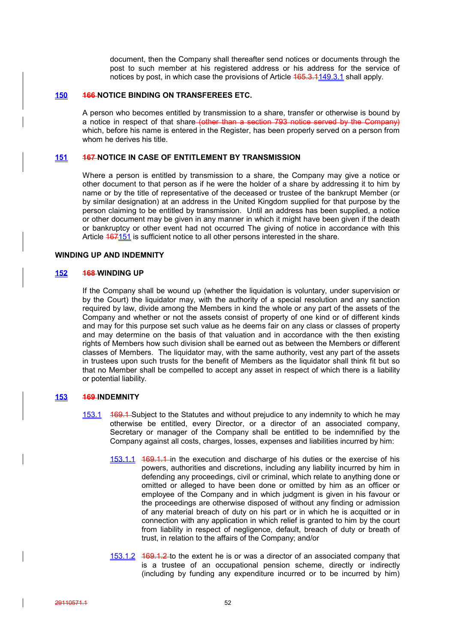document, then the Company shall thereafter send notices or documents through the post to such member at his registered address or his address for the service of notices by post, in which case the provisions of Article 465.3.1149.3.1 shall apply.

#### **150 166 NOTICE BINDING ON TRANSFEREES ETC.**

A person who becomes entitled by transmission to a share, transfer or otherwise is bound by a notice in respect of that share (other than a section 793 notice served by the Company) which, before his name is entered in the Register, has been properly served on a person from whom he derives his title.

## **151 167 NOTICE IN CASE OF ENTITLEMENT BY TRANSMISSION**

Where a person is entitled by transmission to a share, the Company may give a notice or other document to that person as if he were the holder of a share by addressing it to him by name or by the title of representative of the deceased or trustee of the bankrupt Member (or by similar designation) at an address in the United Kingdom supplied for that purpose by the person claiming to be entitled by transmission. Until an address has been supplied, a notice or other document may be given in any manner in which it might have been given if the death or bankruptcy or other event had not occurred The giving of notice in accordance with this Article  $167151$  is sufficient notice to all other persons interested in the share.

#### **WINDING UP AND INDEMNITY**

### **152 168 WINDING UP**

If the Company shall be wound up (whether the liquidation is voluntary, under supervision or by the Court) the liquidator may, with the authority of a special resolution and any sanction required by law, divide among the Members in kind the whole or any part of the assets of the Company and whether or not the assets consist of property of one kind or of different kinds and may for this purpose set such value as he deems fair on any class or classes of property and may determine on the basis of that valuation and in accordance with the then existing rights of Members how such division shall be earned out as between the Members or different classes of Members. The liquidator may, with the same authority, vest any part of the assets in trustees upon such trusts for the benefit of Members as the liquidator shall think fit but so that no Member shall be compelled to accept any asset in respect of which there is a liability or potential liability.

### **153 169 INDEMNITY**

- 153.1 169.1 Subject to the Statutes and without prejudice to any indemnity to which he may otherwise be entitled, every Director, or a director of an associated company, Secretary or manager of the Company shall be entitled to be indemnified by the Company against all costs, charges, losses, expenses and liabilities incurred by him:
	- 153.1.1 169.1.1 in the execution and discharge of his duties or the exercise of his powers, authorities and discretions, including any liability incurred by him in defending any proceedings, civil or criminal, which relate to anything done or omitted or alleged to have been done or omitted by him as an officer or employee of the Company and in which judgment is given in his favour or the proceedings are otherwise disposed of without any finding or admission of any material breach of duty on his part or in which he is acquitted or in connection with any application in which relief is granted to him by the court from liability in respect of negligence, default, breach of duty or breath of trust, in relation to the affairs of the Company; and/or
	- 153.1.2 169.1.2 to the extent he is or was a director of an associated company that is a trustee of an occupational pension scheme, directly or indirectly (including by funding any expenditure incurred or to be incurred by him)